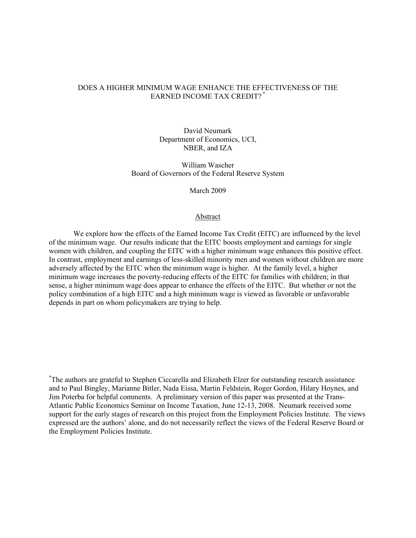# DOES A HIGHER MINIMUM WAGE ENHANCE THE EFFECTIVENESS OF THE EARNED INCOME TAX CREDIT? \*

David Neumark Department of Economics, UCI, NBER, and IZA

William Wascher Board of Governors of the Federal Reserve System

March 2009

## Abstract

We explore how the effects of the Earned Income Tax Credit (EITC) are influenced by the level of the minimum wage. Our results indicate that the EITC boosts employment and earnings for single women with children, and coupling the EITC with a higher minimum wage enhances this positive effect. In contrast, employment and earnings of less-skilled minority men and women without children are more adversely affected by the EITC when the minimum wage is higher. At the family level, a higher minimum wage increases the poverty-reducing effects of the EITC for families with children; in that sense, a higher minimum wage does appear to enhance the effects of the EITC. But whether or not the policy combination of a high EITC and a high minimum wage is viewed as favorable or unfavorable depends in part on whom policymakers are trying to help.

\* The authors are grateful to Stephen Ciccarella and Elizabeth Elzer for outstanding research assistance and to Paul Bingley, Marianne Bitler, Nada Eissa, Martin Feldstein, Roger Gordon, Hilary Hoynes, and Jim Poterba for helpful comments. A preliminary version of this paper was presented at the Trans-Atlantic Public Economics Seminar on Income Taxation, June 12-13, 2008. Neumark received some support for the early stages of research on this project from the Employment Policies Institute. The views expressed are the authors' alone, and do not necessarily reflect the views of the Federal Reserve Board or the Employment Policies Institute.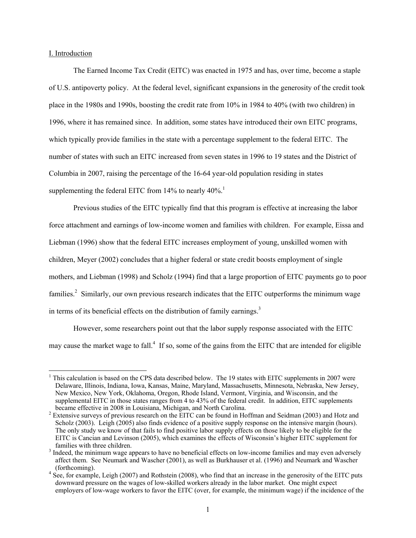## I. Introduction

 $\overline{a}$ 

The Earned Income Tax Credit (EITC) was enacted in 1975 and has, over time, become a staple of U.S. antipoverty policy. At the federal level, significant expansions in the generosity of the credit took place in the 1980s and 1990s, boosting the credit rate from 10% in 1984 to 40% (with two children) in 1996, where it has remained since. In addition, some states have introduced their own EITC programs, which typically provide families in the state with a percentage supplement to the federal EITC. The number of states with such an EITC increased from seven states in 1996 to 19 states and the District of Columbia in 2007, raising the percentage of the 16-64 year-old population residing in states supplementing the federal EITC from  $14\%$  to nearly  $40\%$ .<sup>1</sup>

Previous studies of the EITC typically find that this program is effective at increasing the labor force attachment and earnings of low-income women and families with children. For example, Eissa and Liebman (1996) show that the federal EITC increases employment of young, unskilled women with children, Meyer (2002) concludes that a higher federal or state credit boosts employment of single mothers, and Liebman (1998) and Scholz (1994) find that a large proportion of EITC payments go to poor families.<sup>2</sup> Similarly, our own previous research indicates that the EITC outperforms the minimum wage in terms of its beneficial effects on the distribution of family earnings. $3$ 

However, some researchers point out that the labor supply response associated with the EITC may cause the market wage to fall.<sup>4</sup> If so, some of the gains from the EITC that are intended for eligible

<sup>&</sup>lt;sup>1</sup> This calculation is based on the CPS data described below. The 19 states with EITC supplements in 2007 were Delaware, Illinois, Indiana, Iowa, Kansas, Maine, Maryland, Massachusetts, Minnesota, Nebraska, New Jersey, New Mexico, New York, Oklahoma, Oregon, Rhode Island, Vermont, Virginia, and Wisconsin, and the supplemental EITC in those states ranges from 4 to 43% of the federal credit. In addition, EITC supplements became effective in 2008 in Louisiana, Michigan, and North Carolina. 2

<sup>&</sup>lt;sup>2</sup> Extensive surveys of previous research on the EITC can be found in Hoffman and Seidman (2003) and Hotz and Scholz (2003). Leigh (2005) also finds evidence of a positive supply response on the intensive margin (hours). The only study we know of that fails to find positive labor supply effects on those likely to be eligible for the EITC is Cancian and Levinson (2005), which examines the effects of Wisconsin's higher EITC supplement for families with three children.

<sup>&</sup>lt;sup>3</sup> Indeed, the minimum wage appears to have no beneficial effects on low-income families and may even adversely affect them. See Neumark and Wascher (2001), as well as Burkhauser et al. (1996) and Neumark and Wascher

<sup>(</sup>forthcoming). 4 See, for example, Leigh (2007) and Rothstein (2008), who find that an increase in the generosity of the EITC puts downward pressure on the wages of low-skilled workers already in the labor market. One might expect employers of low-wage workers to favor the EITC (over, for example, the minimum wage) if the incidence of the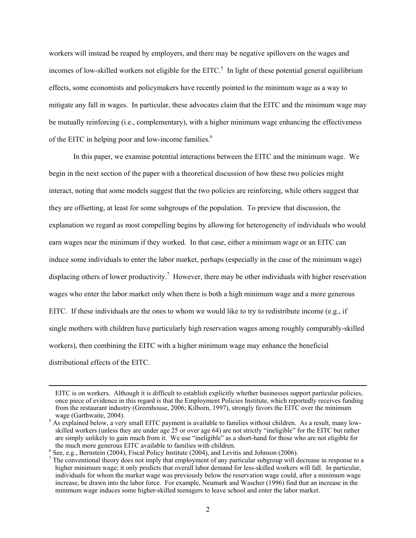workers will instead be reaped by employers, and there may be negative spillovers on the wages and incomes of low-skilled workers not eligible for the  $EITC<sup>5</sup>$ . In light of these potential general equilibrium effects, some economists and policymakers have recently pointed to the minimum wage as a way to mitigate any fall in wages. In particular, these advocates claim that the EITC and the minimum wage may be mutually reinforcing (i.e., complementary), with a higher minimum wage enhancing the effectiveness of the EITC in helping poor and low-income families.<sup>6</sup>

In this paper, we examine potential interactions between the EITC and the minimum wage. We begin in the next section of the paper with a theoretical discussion of how these two policies might interact, noting that some models suggest that the two policies are reinforcing, while others suggest that they are offsetting, at least for some subgroups of the population. To preview that discussion, the explanation we regard as most compelling begins by allowing for heterogeneity of individuals who would earn wages near the minimum if they worked. In that case, either a minimum wage or an EITC can induce some individuals to enter the labor market, perhaps (especially in the case of the minimum wage) displacing others of lower productivity.<sup>7</sup> However, there may be other individuals with higher reservation wages who enter the labor market only when there is both a high minimum wage and a more generous EITC. If these individuals are the ones to whom we would like to try to redistribute income (e.g., if single mothers with children have particularly high reservation wages among roughly comparably-skilled workers), then combining the EITC with a higher minimum wage may enhance the beneficial distributional effects of the EITC.

EITC is on workers. Although it is difficult to establish explicitly whether businesses support particular policies, once piece of evidence in this regard is that the Employment Policies Institute, which reportedly receives funding from the restaurant industry (Greenhouse, 2006; Kilborn, 1997), strongly favors the EITC over the minimum wage (Garthwaite, 2004).

<sup>&</sup>lt;sup>5</sup> As explained below, a very small EITC payment is available to families without children. As a result, many lowskilled workers (unless they are under age 25 or over age 64) are not strictly "ineligible" for the EITC but rather are simply unlikely to gain much from it. We use "ineligible" as a short-hand for those who are not eligible for the much more generous EITC available to families with children. 6

 $<sup>6</sup>$  See, e.g., Bernstein (2004), Fiscal Policy Institute (2004), and Levitis and Johnson (2006).</sup>

 $^7$  The conventional theory does not imply that employment of any particular subgroup will decrease in response to a higher minimum wage; it only predicts that overall labor demand for less-skilled workers will fall. In particular, individuals for whom the market wage was previously below the reservation wage could, after a minimum wage increase, be drawn into the labor force. For example, Neumark and Wascher (1996) find that an increase in the minimum wage induces some higher-skilled teenagers to leave school and enter the labor market.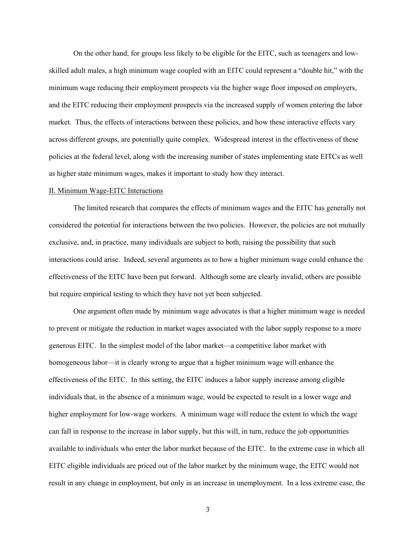On the other hand, for groups less likely to be eligible for the EITC, such as teenagers and lowskilled adult males, a high minimum wage coupled with an EITC could represent a "double hit," with the minimum wage reducing their employment prospects via the higher wage floor imposed on employers, and the EITC reducing their employment prospects via the increased supply of women entering the labor market. Thus, the effects of interactions between these policies, and how these interactive effects vary across different groups, are potentially quite complex. Widespread interest in the effectiveness of these policies at the federal level, along with the increasing number of states implementing state EITCs as well as higher state minimum wages, makes it important to study how they interact.

# II. Minimum Wage-EITC Interactions

The limited research that compares the effects of minimum wages and the EITC has generally not considered the potential for interactions between the two policies. However, the policies are not mutually exclusive, and, in practice, many individuals are subject to both, raising the possibility that such interactions could arise. Indeed, several arguments as to how a higher minimum wage could enhance the effectiveness of the EITC have been put forward. Although some are clearly invalid, others are possible but require empirical testing to which they have not yet been subjected.

 One argument often made by minimum wage advocates is that a higher minimum wage is needed to prevent or mitigate the reduction in market wages associated with the labor supply response to a more generous EITC. In the simplest model of the labor market—a competitive labor market with homogeneous labor—it is clearly wrong to argue that a higher minimum wage will enhance the effectiveness of the EITC. In this setting, the EITC induces a labor supply increase among eligible individuals that, in the absence of a minimum wage, would be expected to result in a lower wage and higher employment for low-wage workers. A minimum wage will reduce the extent to which the wage can fall in response to the increase in labor supply, but this will, in turn, reduce the job opportunities available to individuals who enter the labor market because of the EITC. In the extreme case in which all EITC eligible individuals are priced out of the labor market by the minimum wage, the EITC would not result in any change in employment, but only in an increase in unemployment. In a less extreme case, the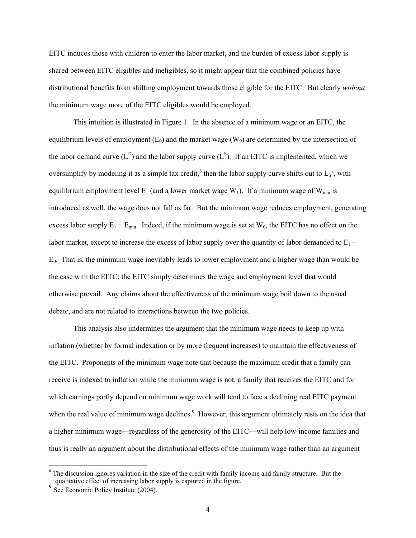EITC induces those with children to enter the labor market, and the burden of excess labor supply is shared between EITC eligibles and ineligibles, so it might appear that the combined policies have distributional benefits from shifting employment towards those eligible for the EITC. But clearly *without* the minimum wage more of the EITC eligibles would be employed.

This intuition is illustrated in Figure 1. In the absence of a minimum wage or an EITC, the equilibrium levels of employment  $(E_0)$  and the market wage  $(W_0)$  are determined by the intersection of the labor demand curve  $(L^D)$  and the labor supply curve  $(L^S)$ . If an EITC is implemented, which we oversimplify by modeling it as a simple tax credit,<sup>8</sup> then the labor supply curve shifts out to  $L_s$ ', with equilibrium employment level  $E_1$  (and a lower market wage  $W_1$ ). If a minimum wage of  $W_{min}$  is introduced as well, the wage does not fall as far. But the minimum wage reduces employment, generating excess labor supply  $E_1 - E_{min}$ . Indeed, if the minimum wage is set at W<sub>0</sub>, the EITC has no effect on the labor market, except to increase the excess of labor supply over the quantity of labor demanded to  $E_1$  −  $E<sub>0</sub>$ . That is, the minimum wage inevitably leads to lower employment and a higher wage than would be the case with the EITC; the EITC simply determines the wage and employment level that would otherwise prevail. Any claims about the effectiveness of the minimum wage boil down to the usual debate, and are not related to interactions between the two policies.

This analysis also undermines the argument that the minimum wage needs to keep up with inflation (whether by formal indexation or by more frequent increases) to maintain the effectiveness of the EITC. Proponents of the minimum wage note that because the maximum credit that a family can receive is indexed to inflation while the minimum wage is not, a family that receives the EITC and for which earnings partly depend on minimum wage work will tend to face a declining real EITC payment when the real value of minimum wage declines.<sup>9</sup> However, this argument ultimately rests on the idea that a higher minimum wage—regardless of the generosity of the EITC—will help low-income families and thus is really an argument about the distributional effects of the minimum wage rather than an argument

<sup>8</sup> The discussion ignores variation in the size of the credit with family income and family structure. But the qualitative effect of increasing labor supply is captured in the figure.

<sup>9</sup> See Economic Policy Institute (2004).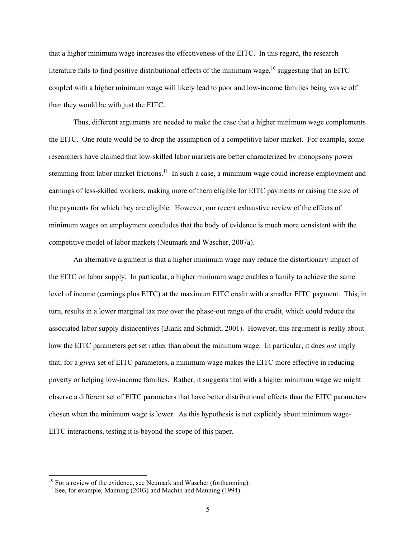that a higher minimum wage increases the effectiveness of the EITC. In this regard, the research literature fails to find positive distributional effects of the minimum wage,  $^{10}$  suggesting that an EITC coupled with a higher minimum wage will likely lead to poor and low-income families being worse off than they would be with just the EITC.

Thus, different arguments are needed to make the case that a higher minimum wage complements the EITC. One route would be to drop the assumption of a competitive labor market. For example, some researchers have claimed that low-skilled labor markets are better characterized by monopsony power stemming from labor market frictions.<sup>11</sup> In such a case, a minimum wage could increase employment and earnings of less-skilled workers, making more of them eligible for EITC payments or raising the size of the payments for which they are eligible. However, our recent exhaustive review of the effects of minimum wages on employment concludes that the body of evidence is much more consistent with the competitive model of labor markets (Neumark and Wascher, 2007a).

An alternative argument is that a higher minimum wage may reduce the distortionary impact of the EITC on labor supply. In particular, a higher minimum wage enables a family to achieve the same level of income (earnings plus EITC) at the maximum EITC credit with a smaller EITC payment. This, in turn, results in a lower marginal tax rate over the phase-out range of the credit, which could reduce the associated labor supply disincentives (Blank and Schmidt, 2001). However, this argument is really about how the EITC parameters get set rather than about the minimum wage. In particular, it does *not* imply that, for a *given* set of EITC parameters, a minimum wage makes the EITC more effective in reducing poverty or helping low-income families. Rather, it suggests that with a higher minimum wage we might observe a different set of EITC parameters that have better distributional effects than the EITC parameters chosen when the minimum wage is lower. As this hypothesis is not explicitly about minimum wage-EITC interactions, testing it is beyond the scope of this paper.

 $10$  For a review of the evidence, see Neumark and Wascher (forthcoming).

 $11$  See, for example, Manning (2003) and Machin and Manning (1994).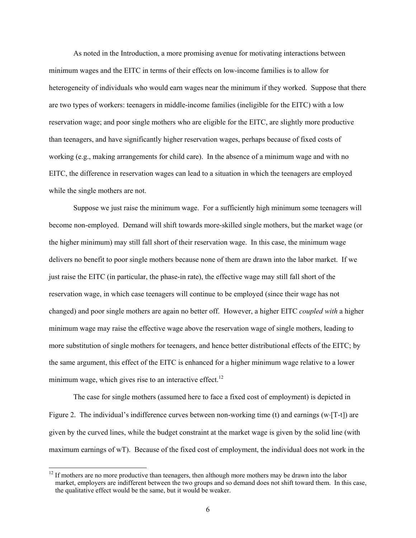As noted in the Introduction, a more promising avenue for motivating interactions between minimum wages and the EITC in terms of their effects on low-income families is to allow for heterogeneity of individuals who would earn wages near the minimum if they worked. Suppose that there are two types of workers: teenagers in middle-income families (ineligible for the EITC) with a low reservation wage; and poor single mothers who are eligible for the EITC, are slightly more productive than teenagers, and have significantly higher reservation wages, perhaps because of fixed costs of working (e.g., making arrangements for child care). In the absence of a minimum wage and with no EITC, the difference in reservation wages can lead to a situation in which the teenagers are employed while the single mothers are not.

Suppose we just raise the minimum wage. For a sufficiently high minimum some teenagers will become non-employed. Demand will shift towards more-skilled single mothers, but the market wage (or the higher minimum) may still fall short of their reservation wage. In this case, the minimum wage delivers no benefit to poor single mothers because none of them are drawn into the labor market. If we just raise the EITC (in particular, the phase-in rate), the effective wage may still fall short of the reservation wage, in which case teenagers will continue to be employed (since their wage has not changed) and poor single mothers are again no better off. However, a higher EITC *coupled with* a higher minimum wage may raise the effective wage above the reservation wage of single mothers, leading to more substitution of single mothers for teenagers, and hence better distributional effects of the EITC; by the same argument, this effect of the EITC is enhanced for a higher minimum wage relative to a lower minimum wage, which gives rise to an interactive effect.<sup>12</sup>

The case for single mothers (assumed here to face a fixed cost of employment) is depicted in Figure 2. The individual's indifference curves between non-working time (t) and earnings (w⋅[T-t]) are given by the curved lines, while the budget constraint at the market wage is given by the solid line (with maximum earnings of wT). Because of the fixed cost of employment, the individual does not work in the

 $12$  If mothers are no more productive than teenagers, then although more mothers may be drawn into the labor market, employers are indifferent between the two groups and so demand does not shift toward them. In this case, the qualitative effect would be the same, but it would be weaker.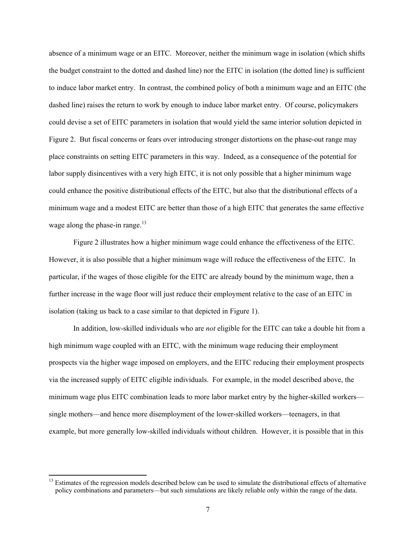absence of a minimum wage or an EITC. Moreover, neither the minimum wage in isolation (which shifts the budget constraint to the dotted and dashed line) nor the EITC in isolation (the dotted line) is sufficient to induce labor market entry. In contrast, the combined policy of both a minimum wage and an EITC (the dashed line) raises the return to work by enough to induce labor market entry. Of course, policymakers could devise a set of EITC parameters in isolation that would yield the same interior solution depicted in Figure 2. But fiscal concerns or fears over introducing stronger distortions on the phase-out range may place constraints on setting EITC parameters in this way. Indeed, as a consequence of the potential for labor supply disincentives with a very high EITC, it is not only possible that a higher minimum wage could enhance the positive distributional effects of the EITC, but also that the distributional effects of a minimum wage and a modest EITC are better than those of a high EITC that generates the same effective wage along the phase-in range. $13$ 

Figure 2 illustrates how a higher minimum wage could enhance the effectiveness of the EITC. However, it is also possible that a higher minimum wage will reduce the effectiveness of the EITC. In particular, if the wages of those eligible for the EITC are already bound by the minimum wage, then a further increase in the wage floor will just reduce their employment relative to the case of an EITC in isolation (taking us back to a case similar to that depicted in Figure 1).

In addition, low-skilled individuals who are *not* eligible for the EITC can take a double hit from a high minimum wage coupled with an EITC, with the minimum wage reducing their employment prospects via the higher wage imposed on employers, and the EITC reducing their employment prospects via the increased supply of EITC eligible individuals. For example, in the model described above, the minimum wage plus EITC combination leads to more labor market entry by the higher-skilled workers single mothers—and hence more disemployment of the lower-skilled workers—teenagers, in that example, but more generally low-skilled individuals without children. However, it is possible that in this

<sup>&</sup>lt;sup>13</sup> Estimates of the regression models described below can be used to simulate the distributional effects of alternative policy combinations and parameters—but such simulations are likely reliable only within the range of the data.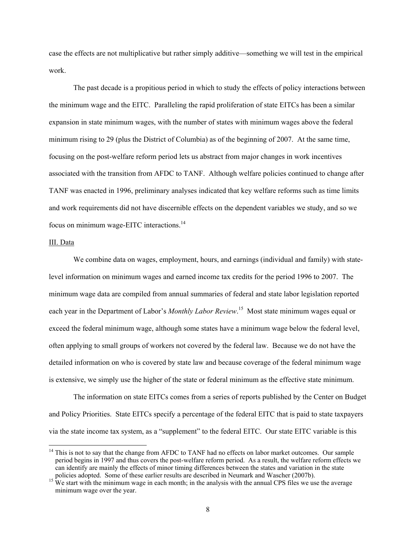case the effects are not multiplicative but rather simply additive—something we will test in the empirical work.

The past decade is a propitious period in which to study the effects of policy interactions between the minimum wage and the EITC. Paralleling the rapid proliferation of state EITCs has been a similar expansion in state minimum wages, with the number of states with minimum wages above the federal minimum rising to 29 (plus the District of Columbia) as of the beginning of 2007. At the same time, focusing on the post-welfare reform period lets us abstract from major changes in work incentives associated with the transition from AFDC to TANF. Although welfare policies continued to change after TANF was enacted in 1996, preliminary analyses indicated that key welfare reforms such as time limits and work requirements did not have discernible effects on the dependent variables we study, and so we focus on minimum wage-EITC interactions.<sup>14</sup>

# III. Data

 $\overline{a}$ 

We combine data on wages, employment, hours, and earnings (individual and family) with statelevel information on minimum wages and earned income tax credits for the period 1996 to 2007. The minimum wage data are compiled from annual summaries of federal and state labor legislation reported each year in the Department of Labor's *Monthly Labor Review*. 15 Most state minimum wages equal or exceed the federal minimum wage, although some states have a minimum wage below the federal level, often applying to small groups of workers not covered by the federal law. Because we do not have the detailed information on who is covered by state law and because coverage of the federal minimum wage is extensive, we simply use the higher of the state or federal minimum as the effective state minimum.

The information on state EITCs comes from a series of reports published by the Center on Budget and Policy Priorities. State EITCs specify a percentage of the federal EITC that is paid to state taxpayers via the state income tax system, as a "supplement" to the federal EITC. Our state EITC variable is this

 $14$  This is not to say that the change from AFDC to TANF had no effects on labor market outcomes. Our sample period begins in 1997 and thus covers the post-welfare reform period. As a result, the welfare reform effects we can identify are mainly the effects of minor timing differences between the states and variation in the state policies adopted. Some of these earlier results are described in Neumark and Wascher (2007b).

 $\frac{15}{15}$  We start with the minimum wage in each month; in the analysis with the annual CPS files we use the average minimum wage over the year.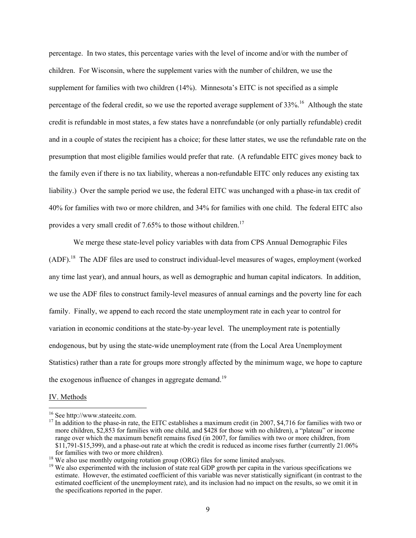percentage. In two states, this percentage varies with the level of income and/or with the number of children. For Wisconsin, where the supplement varies with the number of children, we use the supplement for families with two children (14%). Minnesota's EITC is not specified as a simple percentage of the federal credit, so we use the reported average supplement of  $33\%$ <sup>16</sup> Although the state credit is refundable in most states, a few states have a nonrefundable (or only partially refundable) credit and in a couple of states the recipient has a choice; for these latter states, we use the refundable rate on the presumption that most eligible families would prefer that rate. (A refundable EITC gives money back to the family even if there is no tax liability, whereas a non-refundable EITC only reduces any existing tax liability.) Over the sample period we use, the federal EITC was unchanged with a phase-in tax credit of 40% for families with two or more children, and 34% for families with one child. The federal EITC also provides a very small credit of  $7.65\%$  to those without children.<sup>17</sup>

We merge these state-level policy variables with data from CPS Annual Demographic Files  $(ADF).$ <sup>18</sup> The ADF files are used to construct individual-level measures of wages, employment (worked any time last year), and annual hours, as well as demographic and human capital indicators. In addition, we use the ADF files to construct family-level measures of annual earnings and the poverty line for each family. Finally, we append to each record the state unemployment rate in each year to control for variation in economic conditions at the state-by-year level. The unemployment rate is potentially endogenous, but by using the state-wide unemployment rate (from the Local Area Unemployment Statistics) rather than a rate for groups more strongly affected by the minimum wage, we hope to capture the exogenous influence of changes in aggregate demand.<sup>19</sup>

### IV. Methods

<sup>16</sup> See http://www.stateeitc.com.

 $17$  In addition to the phase-in rate, the EITC establishes a maximum credit (in 2007, \$4,716 for families with two or more children, \$2,853 for families with one child, and \$428 for those with no children), a "plateau" or income range over which the maximum benefit remains fixed (in 2007, for families with two or more children, from \$11,791-\$15,399), and a phase-out rate at which the credit is reduced as income rises further (currently 21.06% for families with two or more children).

 $^{18}$  We also use monthly outgoing rotation group (ORG) files for some limited analyses.

<sup>&</sup>lt;sup>19</sup> We also experimented with the inclusion of state real GDP growth per capita in the various specifications we estimate. However, the estimated coefficient of this variable was never statistically significant (in contrast to the estimated coefficient of the unemployment rate), and its inclusion had no impact on the results, so we omit it in the specifications reported in the paper.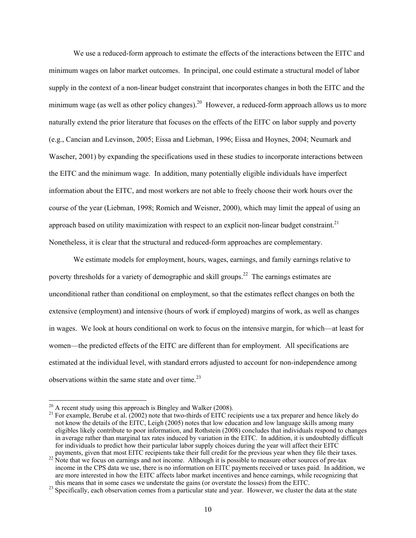We use a reduced-form approach to estimate the effects of the interactions between the EITC and minimum wages on labor market outcomes. In principal, one could estimate a structural model of labor supply in the context of a non-linear budget constraint that incorporates changes in both the EITC and the minimum wage (as well as other policy changes).<sup>20</sup> However, a reduced-form approach allows us to more naturally extend the prior literature that focuses on the effects of the EITC on labor supply and poverty (e.g., Cancian and Levinson, 2005; Eissa and Liebman, 1996; Eissa and Hoynes, 2004; Neumark and Wascher, 2001) by expanding the specifications used in these studies to incorporate interactions between the EITC and the minimum wage. In addition, many potentially eligible individuals have imperfect information about the EITC, and most workers are not able to freely choose their work hours over the course of the year (Liebman, 1998; Romich and Weisner, 2000), which may limit the appeal of using an approach based on utility maximization with respect to an explicit non-linear budget constraint.<sup>21</sup> Nonetheless, it is clear that the structural and reduced-form approaches are complementary.

We estimate models for employment, hours, wages, earnings, and family earnings relative to poverty thresholds for a variety of demographic and skill groups.<sup>22</sup> The earnings estimates are unconditional rather than conditional on employment, so that the estimates reflect changes on both the extensive (employment) and intensive (hours of work if employed) margins of work, as well as changes in wages. We look at hours conditional on work to focus on the intensive margin, for which—at least for women—the predicted effects of the EITC are different than for employment. All specifications are estimated at the individual level, with standard errors adjusted to account for non-independence among observations within the same state and over time. $2<sup>3</sup>$ 

 $^{20}$  A recent study using this approach is Bingley and Walker (2008).

<sup>&</sup>lt;sup>21</sup> For example, Berube et al.  $(2002)$  note that two-thirds of EITC recipients use a tax preparer and hence likely do not know the details of the EITC, Leigh (2005) notes that low education and low language skills among many eligibles likely contribute to poor information, and Rothstein (2008) concludes that individuals respond to changes in average rather than marginal tax rates induced by variation in the EITC. In addition, it is undoubtedly difficult for individuals to predict how their particular labor supply choices during the year will affect their EITC

payments, given that most EITC recipients take their full credit for the previous year when they file their taxes.<br><sup>22</sup> Note that we focus on earnings and not income. Although it is possible to measure other sources of pre income in the CPS data we use, there is no information on EITC payments received or taxes paid. In addition, we are more interested in how the EITC affects labor market incentives and hence earnings, while recognizing that

this means that in some cases we understate the gains (or overstate the losses) from the EITC. 23 Specifically, each observation comes from a particular state and year. However, we cluster the data at the state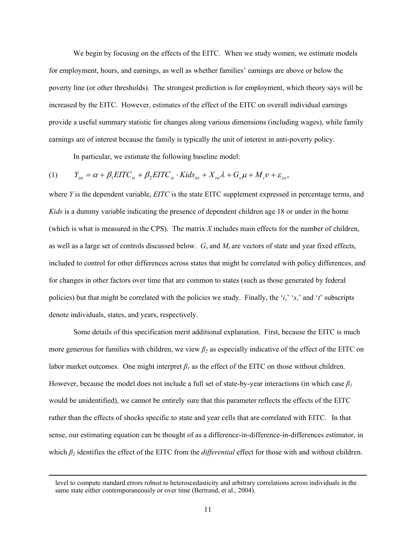We begin by focusing on the effects of the EITC. When we study women, we estimate models for employment, hours, and earnings, as well as whether families' earnings are above or below the poverty line (or other thresholds). The strongest prediction is for employment, which theory says will be increased by the EITC. However, estimates of the effect of the EITC on overall individual earnings provide a useful summary statistic for changes along various dimensions (including wages), while family earnings are of interest because the family is typically the unit of interest in anti-poverty policy.

In particular, we estimate the following baseline model:

$$
(1) \qquad Y_{_{ist}} = \alpha + \beta_1 EITC_{_{st}} + \beta_2 EITC_{_{st}} \cdot Kids_{_{ist}} + X_{_{ist}} \lambda + G_{_{s}} \mu + M_{_{t}} \nu + \varepsilon_{_{ist}},
$$

where *Y* is the dependent variable, *EITC* is the state EITC supplement expressed in percentage terms, and *Kids* is a dummy variable indicating the presence of dependent children age 18 or under in the home (which is what is measured in the CPS). The matrix *X* includes main effects for the number of children, as well as a large set of controls discussed below.  $G_s$  and  $M_t$  are vectors of state and year fixed effects, included to control for other differences across states that might be correlated with policy differences, and for changes in other factors over time that are common to states (such as those generated by federal policies) but that might be correlated with the policies we study. Finally, the '*i*,' '*s*,' and '*t*' subscripts denote individuals, states, and years, respectively.

 Some details of this specification merit additional explanation. First, because the EITC is much more generous for families with children, we view *β2* as especially indicative of the effect of the EITC on labor market outcomes. One might interpret  $\beta_l$  as the effect of the EITC on those without children. However, because the model does not include a full set of state-by-year interactions (in which case *β<sup>1</sup>* would be unidentified), we cannot be entirely sure that this parameter reflects the effects of the EITC rather than the effects of shocks specific to state and year cells that are correlated with EITC. In that sense, our estimating equation can be thought of as a difference-in-difference-in-differences estimator, in which *β*<sub>2</sub> identifies the effect of the EITC from the *differential* effect for those with and without children.

level to compute standard errors robust to heteroscedasticity and arbitrary correlations across individuals in the same state either contemporaneously or over time (Bertrand, et al., 2004).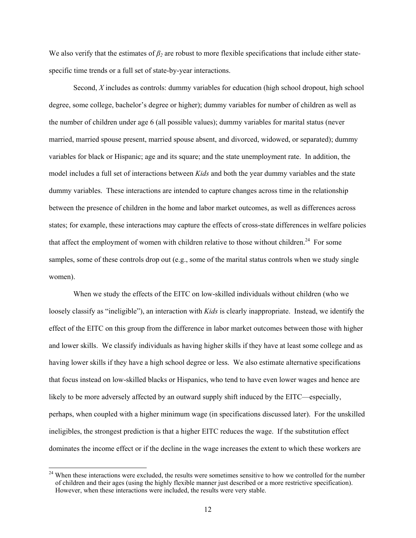We also verify that the estimates of  $\beta_2$  are robust to more flexible specifications that include either statespecific time trends or a full set of state-by-year interactions.

Second, *X* includes as controls: dummy variables for education (high school dropout, high school degree, some college, bachelor's degree or higher); dummy variables for number of children as well as the number of children under age 6 (all possible values); dummy variables for marital status (never married, married spouse present, married spouse absent, and divorced, widowed, or separated); dummy variables for black or Hispanic; age and its square; and the state unemployment rate. In addition, the model includes a full set of interactions between *Kids* and both the year dummy variables and the state dummy variables. These interactions are intended to capture changes across time in the relationship between the presence of children in the home and labor market outcomes, as well as differences across states; for example, these interactions may capture the effects of cross-state differences in welfare policies that affect the employment of women with children relative to those without children.<sup>24</sup> For some samples, some of these controls drop out (e.g., some of the marital status controls when we study single women).

When we study the effects of the EITC on low-skilled individuals without children (who we loosely classify as "ineligible"), an interaction with *Kids* is clearly inappropriate. Instead, we identify the effect of the EITC on this group from the difference in labor market outcomes between those with higher and lower skills. We classify individuals as having higher skills if they have at least some college and as having lower skills if they have a high school degree or less. We also estimate alternative specifications that focus instead on low-skilled blacks or Hispanics, who tend to have even lower wages and hence are likely to be more adversely affected by an outward supply shift induced by the EITC—especially, perhaps, when coupled with a higher minimum wage (in specifications discussed later). For the unskilled ineligibles, the strongest prediction is that a higher EITC reduces the wage. If the substitution effect dominates the income effect or if the decline in the wage increases the extent to which these workers are

<sup>&</sup>lt;sup>24</sup> When these interactions were excluded, the results were sometimes sensitive to how we controlled for the number of children and their ages (using the highly flexible manner just described or a more restrictive specification). However, when these interactions were included, the results were very stable.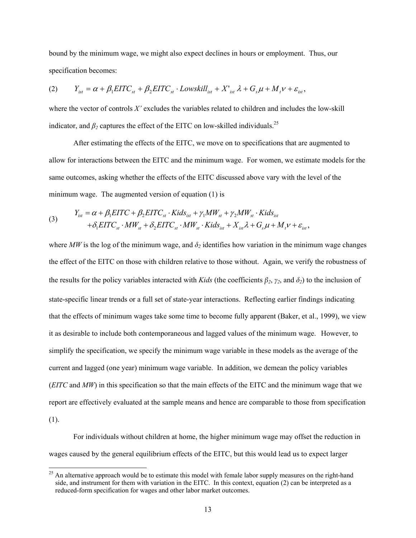bound by the minimum wage, we might also expect declines in hours or employment. Thus, our specification becomes:

$$
(2) \qquad Y_{_{ist}} = \alpha + \beta_1 EITC_{_{st}} + \beta_2 EITC_{_{st}} \cdot Lowskill_{_{ist}} + X'_{_{ist}} \lambda + G_s \mu + M_t \nu + \varepsilon_{_{ist}},
$$

where the vector of controls *X'* excludes the variables related to children and includes the low-skill indicator, and  $\beta_2$  captures the effect of the EITC on low-skilled individuals.<sup>25</sup>

 After estimating the effects of the EITC, we move on to specifications that are augmented to allow for interactions between the EITC and the minimum wage. For women, we estimate models for the same outcomes, asking whether the effects of the EITC discussed above vary with the level of the minimum wage. The augmented version of equation (1) is

(3) 
$$
Y_{ist} = \alpha + \beta_1 EITC + \beta_2 EITC_{st} \cdot Kids_{ist} + \gamma_1 MW_{st} + \gamma_2 MW_{st} \cdot Kids_{ist} + \delta_1 EITC_{st} \cdot MW_{st} + \delta_2 EITC_{st} \cdot MW_{st} \cdot Kids_{ist} + X_{ist} \lambda + G_s \mu + M_t \nu + \varepsilon_{ist},
$$

where *MW* is the log of the minimum wage, and  $\delta_2$  identifies how variation in the minimum wage changes the effect of the EITC on those with children relative to those without. Again, we verify the robustness of the results for the policy variables interacted with *Kids* (the coefficients  $\beta_2$ ,  $\gamma_2$ , and  $\delta_2$ ) to the inclusion of state-specific linear trends or a full set of state-year interactions. Reflecting earlier findings indicating that the effects of minimum wages take some time to become fully apparent (Baker, et al., 1999), we view it as desirable to include both contemporaneous and lagged values of the minimum wage. However, to simplify the specification, we specify the minimum wage variable in these models as the average of the current and lagged (one year) minimum wage variable. In addition, we demean the policy variables (*EITC* and *MW*) in this specification so that the main effects of the EITC and the minimum wage that we report are effectively evaluated at the sample means and hence are comparable to those from specification (1).

For individuals without children at home, the higher minimum wage may offset the reduction in wages caused by the general equilibrium effects of the EITC, but this would lead us to expect larger

 $^{25}$  An alternative approach would be to estimate this model with female labor supply measures on the right-hand side, and instrument for them with variation in the EITC. In this context, equation (2) can be interpreted as a reduced-form specification for wages and other labor market outcomes.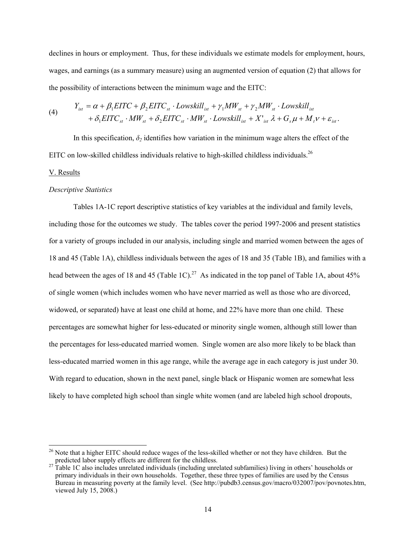declines in hours or employment. Thus, for these individuals we estimate models for employment, hours, wages, and earnings (as a summary measure) using an augmented version of equation (2) that allows for the possibility of interactions between the minimum wage and the EITC:

(4) 
$$
Y_{ist} = \alpha + \beta_1 EITC + \beta_2 EITC_{st} \cdot Lowskill_{ist} + \gamma_1 MW_{st} + \gamma_2 MW_{st} \cdot Lowskill_{ist} + \delta_1 EITC_{st} \cdot MW_{st} + \delta_2 EITC_{st} \cdot MW_{st} \cdot Lowskill_{ist} + X'_{ist} \lambda + G_s \mu + M_t \nu + \varepsilon_{ist}.
$$

In this specification,  $\delta_2$  identifies how variation in the minimum wage alters the effect of the EITC on low-skilled childless individuals relative to high-skilled childless individuals.<sup>26</sup>

#### V. Results

 $\overline{a}$ 

### *Descriptive Statistics*

Tables 1A-1C report descriptive statistics of key variables at the individual and family levels, including those for the outcomes we study. The tables cover the period 1997-2006 and present statistics for a variety of groups included in our analysis, including single and married women between the ages of 18 and 45 (Table 1A), childless individuals between the ages of 18 and 35 (Table 1B), and families with a head between the ages of 18 and 45 (Table 1C).<sup>27</sup> As indicated in the top panel of Table 1A, about 45% of single women (which includes women who have never married as well as those who are divorced, widowed, or separated) have at least one child at home, and 22% have more than one child. These percentages are somewhat higher for less-educated or minority single women, although still lower than the percentages for less-educated married women. Single women are also more likely to be black than less-educated married women in this age range, while the average age in each category is just under 30. With regard to education, shown in the next panel, single black or Hispanic women are somewhat less likely to have completed high school than single white women (and are labeled high school dropouts,

<sup>&</sup>lt;sup>26</sup> Note that a higher EITC should reduce wages of the less-skilled whether or not they have children. But the predicted labor supply effects are different for the childless.<br><sup>27</sup> Table 1C also includes unrelated individuals (including unrelated subfamilies) living in others' households or

primary individuals in their own households. Together, these three types of families are used by the Census Bureau in measuring poverty at the family level. (See http://pubdb3.census.gov/macro/032007/pov/povnotes.htm, viewed July 15, 2008.)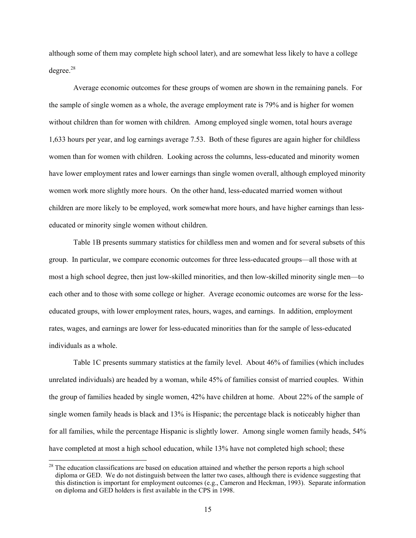although some of them may complete high school later), and are somewhat less likely to have a college  $degree<sup>28</sup>$ 

Average economic outcomes for these groups of women are shown in the remaining panels. For the sample of single women as a whole, the average employment rate is 79% and is higher for women without children than for women with children. Among employed single women, total hours average 1,633 hours per year, and log earnings average 7.53. Both of these figures are again higher for childless women than for women with children. Looking across the columns, less-educated and minority women have lower employment rates and lower earnings than single women overall, although employed minority women work more slightly more hours. On the other hand, less-educated married women without children are more likely to be employed, work somewhat more hours, and have higher earnings than lesseducated or minority single women without children.

Table 1B presents summary statistics for childless men and women and for several subsets of this group. In particular, we compare economic outcomes for three less-educated groups—all those with at most a high school degree, then just low-skilled minorities, and then low-skilled minority single men—to each other and to those with some college or higher. Average economic outcomes are worse for the lesseducated groups, with lower employment rates, hours, wages, and earnings. In addition, employment rates, wages, and earnings are lower for less-educated minorities than for the sample of less-educated individuals as a whole.

Table 1C presents summary statistics at the family level. About 46% of families (which includes unrelated individuals) are headed by a woman, while 45% of families consist of married couples. Within the group of families headed by single women, 42% have children at home. About 22% of the sample of single women family heads is black and 13% is Hispanic; the percentage black is noticeably higher than for all families, while the percentage Hispanic is slightly lower. Among single women family heads, 54% have completed at most a high school education, while 13% have not completed high school; these

<sup>&</sup>lt;sup>28</sup> The education classifications are based on education attained and whether the person reports a high school diploma or GED. We do not distinguish between the latter two cases, although there is evidence suggesting that this distinction is important for employment outcomes (e.g., Cameron and Heckman, 1993). Separate information on diploma and GED holders is first available in the CPS in 1998.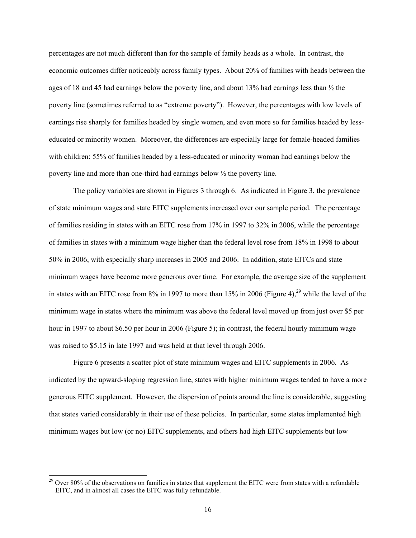percentages are not much different than for the sample of family heads as a whole. In contrast, the economic outcomes differ noticeably across family types. About 20% of families with heads between the ages of 18 and 45 had earnings below the poverty line, and about 13% had earnings less than  $\frac{1}{2}$  the poverty line (sometimes referred to as "extreme poverty"). However, the percentages with low levels of earnings rise sharply for families headed by single women, and even more so for families headed by lesseducated or minority women. Moreover, the differences are especially large for female-headed families with children: 55% of families headed by a less-educated or minority woman had earnings below the poverty line and more than one-third had earnings below ½ the poverty line.

The policy variables are shown in Figures 3 through 6. As indicated in Figure 3, the prevalence of state minimum wages and state EITC supplements increased over our sample period. The percentage of families residing in states with an EITC rose from 17% in 1997 to 32% in 2006, while the percentage of families in states with a minimum wage higher than the federal level rose from 18% in 1998 to about 50% in 2006, with especially sharp increases in 2005 and 2006. In addition, state EITCs and state minimum wages have become more generous over time. For example, the average size of the supplement in states with an EITC rose from  $8\%$  in 1997 to more than 15% in 2006 (Figure 4),<sup>29</sup> while the level of the minimum wage in states where the minimum was above the federal level moved up from just over \$5 per hour in 1997 to about \$6.50 per hour in 2006 (Figure 5); in contrast, the federal hourly minimum wage was raised to \$5.15 in late 1997 and was held at that level through 2006.

Figure 6 presents a scatter plot of state minimum wages and EITC supplements in 2006. As indicated by the upward-sloping regression line, states with higher minimum wages tended to have a more generous EITC supplement. However, the dispersion of points around the line is considerable, suggesting that states varied considerably in their use of these policies. In particular, some states implemented high minimum wages but low (or no) EITC supplements, and others had high EITC supplements but low

 $29$  Over 80% of the observations on families in states that supplement the EITC were from states with a refundable EITC, and in almost all cases the EITC was fully refundable.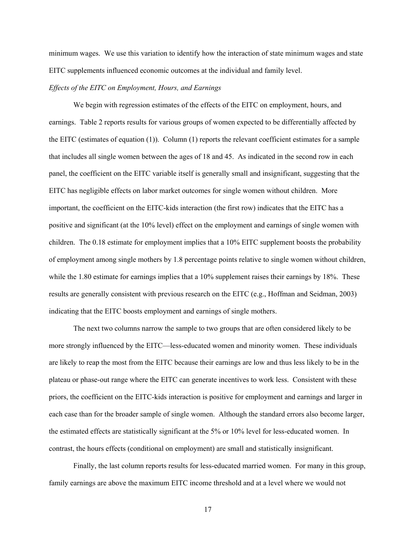minimum wages. We use this variation to identify how the interaction of state minimum wages and state EITC supplements influenced economic outcomes at the individual and family level.

### *Effects of the EITC on Employment, Hours, and Earnings*

We begin with regression estimates of the effects of the EITC on employment, hours, and earnings. Table 2 reports results for various groups of women expected to be differentially affected by the EITC (estimates of equation (1)). Column (1) reports the relevant coefficient estimates for a sample that includes all single women between the ages of 18 and 45. As indicated in the second row in each panel, the coefficient on the EITC variable itself is generally small and insignificant, suggesting that the EITC has negligible effects on labor market outcomes for single women without children. More important, the coefficient on the EITC-kids interaction (the first row) indicates that the EITC has a positive and significant (at the 10% level) effect on the employment and earnings of single women with children. The 0.18 estimate for employment implies that a 10% EITC supplement boosts the probability of employment among single mothers by 1.8 percentage points relative to single women without children, while the 1.80 estimate for earnings implies that a 10% supplement raises their earnings by 18%. These results are generally consistent with previous research on the EITC (e.g., Hoffman and Seidman, 2003) indicating that the EITC boosts employment and earnings of single mothers.

The next two columns narrow the sample to two groups that are often considered likely to be more strongly influenced by the EITC—less-educated women and minority women. These individuals are likely to reap the most from the EITC because their earnings are low and thus less likely to be in the plateau or phase-out range where the EITC can generate incentives to work less. Consistent with these priors, the coefficient on the EITC-kids interaction is positive for employment and earnings and larger in each case than for the broader sample of single women. Although the standard errors also become larger, the estimated effects are statistically significant at the 5% or 10% level for less-educated women. In contrast, the hours effects (conditional on employment) are small and statistically insignificant.

Finally, the last column reports results for less-educated married women. For many in this group, family earnings are above the maximum EITC income threshold and at a level where we would not

17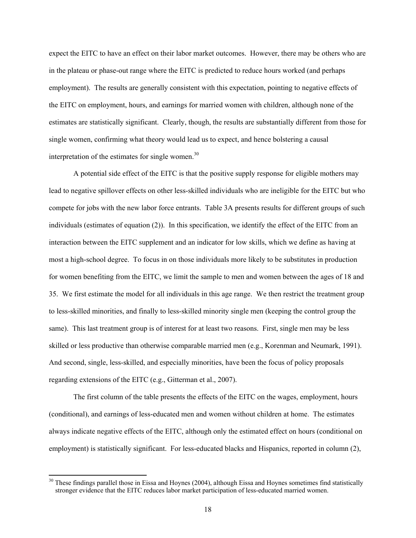expect the EITC to have an effect on their labor market outcomes. However, there may be others who are in the plateau or phase-out range where the EITC is predicted to reduce hours worked (and perhaps employment). The results are generally consistent with this expectation, pointing to negative effects of the EITC on employment, hours, and earnings for married women with children, although none of the estimates are statistically significant. Clearly, though, the results are substantially different from those for single women, confirming what theory would lead us to expect, and hence bolstering a causal interpretation of the estimates for single women.<sup>30</sup>

A potential side effect of the EITC is that the positive supply response for eligible mothers may lead to negative spillover effects on other less-skilled individuals who are ineligible for the EITC but who compete for jobs with the new labor force entrants. Table 3A presents results for different groups of such individuals (estimates of equation (2)). In this specification, we identify the effect of the EITC from an interaction between the EITC supplement and an indicator for low skills, which we define as having at most a high-school degree. To focus in on those individuals more likely to be substitutes in production for women benefiting from the EITC, we limit the sample to men and women between the ages of 18 and 35. We first estimate the model for all individuals in this age range. We then restrict the treatment group to less-skilled minorities, and finally to less-skilled minority single men (keeping the control group the same). This last treatment group is of interest for at least two reasons. First, single men may be less skilled or less productive than otherwise comparable married men (e.g., Korenman and Neumark, 1991). And second, single, less-skilled, and especially minorities, have been the focus of policy proposals regarding extensions of the EITC (e.g., Gitterman et al., 2007).

The first column of the table presents the effects of the EITC on the wages, employment, hours (conditional), and earnings of less-educated men and women without children at home. The estimates always indicate negative effects of the EITC, although only the estimated effect on hours (conditional on employment) is statistically significant. For less-educated blacks and Hispanics, reported in column (2),

 $30$  These findings parallel those in Eissa and Hoynes (2004), although Eissa and Hoynes sometimes find statistically stronger evidence that the EITC reduces labor market participation of less-educated married women.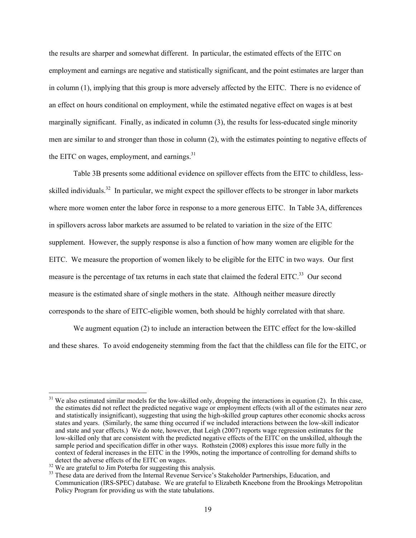the results are sharper and somewhat different. In particular, the estimated effects of the EITC on employment and earnings are negative and statistically significant, and the point estimates are larger than in column (1), implying that this group is more adversely affected by the EITC. There is no evidence of an effect on hours conditional on employment, while the estimated negative effect on wages is at best marginally significant. Finally, as indicated in column (3), the results for less-educated single minority men are similar to and stronger than those in column (2), with the estimates pointing to negative effects of the EITC on wages, employment, and earnings. $31$ 

Table 3B presents some additional evidence on spillover effects from the EITC to childless, lessskilled individuals.<sup>32</sup> In particular, we might expect the spillover effects to be stronger in labor markets where more women enter the labor force in response to a more generous EITC. In Table 3A, differences in spillovers across labor markets are assumed to be related to variation in the size of the EITC supplement. However, the supply response is also a function of how many women are eligible for the EITC. We measure the proportion of women likely to be eligible for the EITC in two ways. Our first measure is the percentage of tax returns in each state that claimed the federal EITC.<sup>33</sup> Our second measure is the estimated share of single mothers in the state. Although neither measure directly corresponds to the share of EITC-eligible women, both should be highly correlated with that share.

We augment equation (2) to include an interaction between the EITC effect for the low-skilled and these shares. To avoid endogeneity stemming from the fact that the childless can file for the EITC, or

We also estimated similar models for the low-skilled only, dropping the interactions in equation (2). In this case, the estimates did not reflect the predicted negative wage or employment effects (with all of the estimates near zero and statistically insignificant), suggesting that using the high-skilled group captures other economic shocks across states and years. (Similarly, the same thing occurred if we included interactions between the low-skill indicator and state and year effects.) We do note, however, that Leigh (2007) reports wage regression estimates for the low-skilled only that are consistent with the predicted negative effects of the EITC on the unskilled, although the sample period and specification differ in other ways. Rothstein (2008) explores this issue more fully in the context of federal increases in the EITC in the 1990s, noting the importance of controlling for demand shifts to detect the adverse effects of the EITC on wages.

 $32$  We are grateful to Jim Poterba for suggesting this analysis.

<sup>&</sup>lt;sup>33</sup> These data are derived from the Internal Revenue Service's Stakeholder Partnerships, Education, and Communication (IRS-SPEC) database. We are grateful to Elizabeth Kneebone from the Brookings Metropolitan Policy Program for providing us with the state tabulations.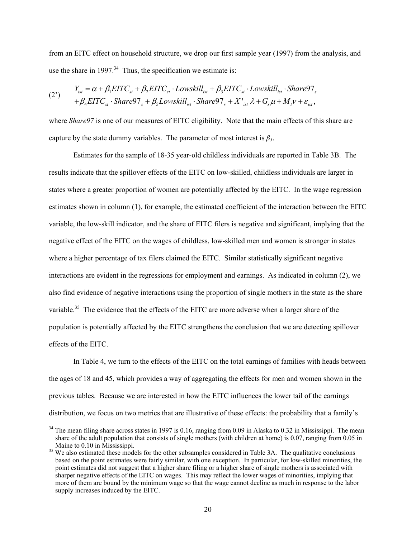from an EITC effect on household structure, we drop our first sample year (1997) from the analysis, and use the share in 1997. $34$  Thus, the specification we estimate is:

(2') 
$$
Y_{ist} = \alpha + \beta_1 EITC_{st} + \beta_2 EITC_{st} \cdot Lowskill_{ist} + \beta_3 EITC_{st} \cdot Lowskill_{ist} \cdot Share97_s + \beta_4 EITC_{st} \cdot Share97_s + \beta_5 Lowskill_{ist} \cdot Share97_s + X'_{ist} \lambda + G_s \mu + M_t \nu + \varepsilon_{ist},
$$

where *Share97* is one of our measures of EITC eligibility. Note that the main effects of this share are capture by the state dummy variables. The parameter of most interest is  $\beta_3$ .

 Estimates for the sample of 18-35 year-old childless individuals are reported in Table 3B. The results indicate that the spillover effects of the EITC on low-skilled, childless individuals are larger in states where a greater proportion of women are potentially affected by the EITC. In the wage regression estimates shown in column (1), for example, the estimated coefficient of the interaction between the EITC variable, the low-skill indicator, and the share of EITC filers is negative and significant, implying that the negative effect of the EITC on the wages of childless, low-skilled men and women is stronger in states where a higher percentage of tax filers claimed the EITC. Similar statistically significant negative interactions are evident in the regressions for employment and earnings. As indicated in column (2), we also find evidence of negative interactions using the proportion of single mothers in the state as the share variable.<sup>35</sup> The evidence that the effects of the EITC are more adverse when a larger share of the population is potentially affected by the EITC strengthens the conclusion that we are detecting spillover effects of the EITC.

In Table 4, we turn to the effects of the EITC on the total earnings of families with heads between the ages of 18 and 45, which provides a way of aggregating the effects for men and women shown in the previous tables. Because we are interested in how the EITC influences the lower tail of the earnings distribution, we focus on two metrics that are illustrative of these effects: the probability that a family's

 $34$  The mean filing share across states in 1997 is 0.16, ranging from 0.09 in Alaska to 0.32 in Mississippi. The mean share of the adult population that consists of single mothers (with children at home) is 0.07, ranging from 0.05 in Maine to 0.10 in Mississippi.

<sup>&</sup>lt;sup>35</sup> We also estimated these models for the other subsamples considered in Table 3A. The qualitative conclusions based on the point estimates were fairly similar, with one exception. In particular, for low-skilled minorities, the point estimates did not suggest that a higher share filing or a higher share of single mothers is associated with sharper negative effects of the EITC on wages. This may reflect the lower wages of minorities, implying that more of them are bound by the minimum wage so that the wage cannot decline as much in response to the labor supply increases induced by the EITC.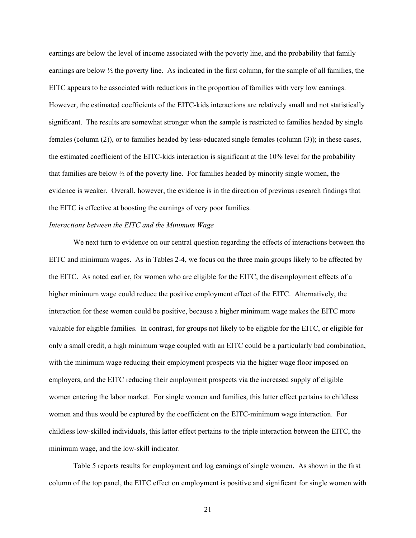earnings are below the level of income associated with the poverty line, and the probability that family earnings are below  $\frac{1}{2}$  the poverty line. As indicated in the first column, for the sample of all families, the EITC appears to be associated with reductions in the proportion of families with very low earnings. However, the estimated coefficients of the EITC-kids interactions are relatively small and not statistically significant. The results are somewhat stronger when the sample is restricted to families headed by single females (column (2)), or to families headed by less-educated single females (column (3)); in these cases, the estimated coefficient of the EITC-kids interaction is significant at the 10% level for the probability that families are below ½ of the poverty line. For families headed by minority single women, the evidence is weaker. Overall, however, the evidence is in the direction of previous research findings that the EITC is effective at boosting the earnings of very poor families.

### *Interactions between the EITC and the Minimum Wage*

We next turn to evidence on our central question regarding the effects of interactions between the EITC and minimum wages. As in Tables 2-4, we focus on the three main groups likely to be affected by the EITC. As noted earlier, for women who are eligible for the EITC, the disemployment effects of a higher minimum wage could reduce the positive employment effect of the EITC. Alternatively, the interaction for these women could be positive, because a higher minimum wage makes the EITC more valuable for eligible families. In contrast, for groups not likely to be eligible for the EITC, or eligible for only a small credit, a high minimum wage coupled with an EITC could be a particularly bad combination, with the minimum wage reducing their employment prospects via the higher wage floor imposed on employers, and the EITC reducing their employment prospects via the increased supply of eligible women entering the labor market. For single women and families, this latter effect pertains to childless women and thus would be captured by the coefficient on the EITC-minimum wage interaction. For childless low-skilled individuals, this latter effect pertains to the triple interaction between the EITC, the minimum wage, and the low-skill indicator.

Table 5 reports results for employment and log earnings of single women. As shown in the first column of the top panel, the EITC effect on employment is positive and significant for single women with

21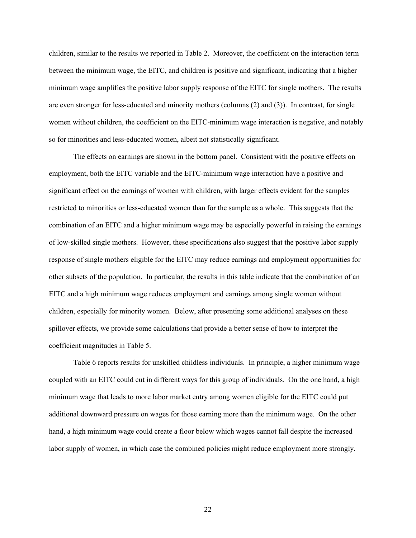children, similar to the results we reported in Table 2. Moreover, the coefficient on the interaction term between the minimum wage, the EITC, and children is positive and significant, indicating that a higher minimum wage amplifies the positive labor supply response of the EITC for single mothers. The results are even stronger for less-educated and minority mothers (columns (2) and (3)). In contrast, for single women without children, the coefficient on the EITC-minimum wage interaction is negative, and notably so for minorities and less-educated women, albeit not statistically significant.

The effects on earnings are shown in the bottom panel. Consistent with the positive effects on employment, both the EITC variable and the EITC-minimum wage interaction have a positive and significant effect on the earnings of women with children, with larger effects evident for the samples restricted to minorities or less-educated women than for the sample as a whole. This suggests that the combination of an EITC and a higher minimum wage may be especially powerful in raising the earnings of low-skilled single mothers. However, these specifications also suggest that the positive labor supply response of single mothers eligible for the EITC may reduce earnings and employment opportunities for other subsets of the population. In particular, the results in this table indicate that the combination of an EITC and a high minimum wage reduces employment and earnings among single women without children, especially for minority women. Below, after presenting some additional analyses on these spillover effects, we provide some calculations that provide a better sense of how to interpret the coefficient magnitudes in Table 5.

Table 6 reports results for unskilled childless individuals. In principle, a higher minimum wage coupled with an EITC could cut in different ways for this group of individuals. On the one hand, a high minimum wage that leads to more labor market entry among women eligible for the EITC could put additional downward pressure on wages for those earning more than the minimum wage. On the other hand, a high minimum wage could create a floor below which wages cannot fall despite the increased labor supply of women, in which case the combined policies might reduce employment more strongly.

22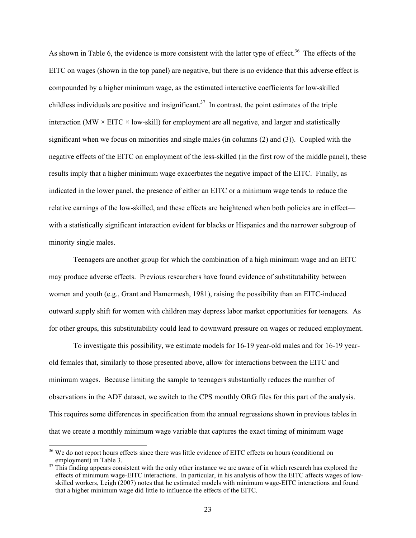As shown in Table 6, the evidence is more consistent with the latter type of effect.<sup>36</sup> The effects of the EITC on wages (shown in the top panel) are negative, but there is no evidence that this adverse effect is compounded by a higher minimum wage, as the estimated interactive coefficients for low-skilled childless individuals are positive and insignificant.<sup>37</sup> In contrast, the point estimates of the triple interaction (MW  $\times$  EITC  $\times$  low-skill) for employment are all negative, and larger and statistically significant when we focus on minorities and single males (in columns (2) and (3)). Coupled with the negative effects of the EITC on employment of the less-skilled (in the first row of the middle panel), these results imply that a higher minimum wage exacerbates the negative impact of the EITC. Finally, as indicated in the lower panel, the presence of either an EITC or a minimum wage tends to reduce the relative earnings of the low-skilled, and these effects are heightened when both policies are in effect with a statistically significant interaction evident for blacks or Hispanics and the narrower subgroup of minority single males.

Teenagers are another group for which the combination of a high minimum wage and an EITC may produce adverse effects. Previous researchers have found evidence of substitutability between women and youth (e.g., Grant and Hamermesh, 1981), raising the possibility than an EITC-induced outward supply shift for women with children may depress labor market opportunities for teenagers. As for other groups, this substitutability could lead to downward pressure on wages or reduced employment.

To investigate this possibility, we estimate models for 16-19 year-old males and for 16-19 yearold females that, similarly to those presented above, allow for interactions between the EITC and minimum wages. Because limiting the sample to teenagers substantially reduces the number of observations in the ADF dataset, we switch to the CPS monthly ORG files for this part of the analysis. This requires some differences in specification from the annual regressions shown in previous tables in that we create a monthly minimum wage variable that captures the exact timing of minimum wage

<sup>&</sup>lt;sup>36</sup> We do not report hours effects since there was little evidence of EITC effects on hours (conditional on employment) in Table 3.  $37$  This finding appears consistent with the only other instance we are aware of in which research has explored the

effects of minimum wage-EITC interactions. In particular, in his analysis of how the EITC affects wages of lowskilled workers, Leigh (2007) notes that he estimated models with minimum wage-EITC interactions and found that a higher minimum wage did little to influence the effects of the EITC.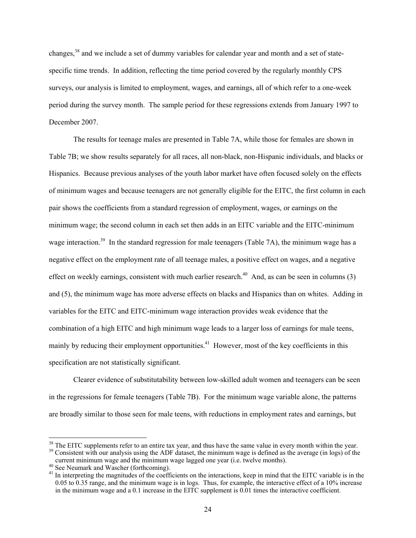changes,38 and we include a set of dummy variables for calendar year and month and a set of statespecific time trends. In addition, reflecting the time period covered by the regularly monthly CPS surveys, our analysis is limited to employment, wages, and earnings, all of which refer to a one-week period during the survey month. The sample period for these regressions extends from January 1997 to December 2007.

The results for teenage males are presented in Table 7A, while those for females are shown in Table 7B; we show results separately for all races, all non-black, non-Hispanic individuals, and blacks or Hispanics. Because previous analyses of the youth labor market have often focused solely on the effects of minimum wages and because teenagers are not generally eligible for the EITC, the first column in each pair shows the coefficients from a standard regression of employment, wages, or earnings on the minimum wage; the second column in each set then adds in an EITC variable and the EITC-minimum wage interaction.<sup>39</sup> In the standard regression for male teenagers (Table 7A), the minimum wage has a negative effect on the employment rate of all teenage males, a positive effect on wages, and a negative effect on weekly earnings, consistent with much earlier research.<sup>40</sup> And, as can be seen in columns  $(3)$ and (5), the minimum wage has more adverse effects on blacks and Hispanics than on whites. Adding in variables for the EITC and EITC-minimum wage interaction provides weak evidence that the combination of a high EITC and high minimum wage leads to a larger loss of earnings for male teens, mainly by reducing their employment opportunities.<sup>41</sup> However, most of the key coefficients in this specification are not statistically significant.

Clearer evidence of substitutability between low-skilled adult women and teenagers can be seen in the regressions for female teenagers (Table 7B). For the minimum wage variable alone, the patterns are broadly similar to those seen for male teens, with reductions in employment rates and earnings, but

<sup>&</sup>lt;sup>38</sup> The EITC supplements refer to an entire tax year, and thus have the same value in every month within the year.<br><sup>39</sup> Consistent with our analysis using the ADF dataset, the minimum wage is defined as the average (in l

current minimum wage and the minimum wage lagged one year (i.e. twelve months). 40 See Neumark and Wascher (forthcoming).

<sup>&</sup>lt;sup>41</sup> In interpreting the magnitudes of the coefficients on the interactions, keep in mind that the EITC variable is in the 0.05 to 0.35 range, and the minimum wage is in logs. Thus, for example, the interactive effect of a 10% increase in the minimum wage and a 0.1 increase in the EITC supplement is 0.01 times the interactive coefficient.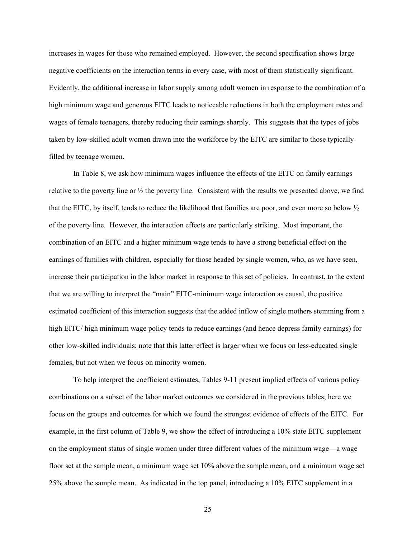increases in wages for those who remained employed. However, the second specification shows large negative coefficients on the interaction terms in every case, with most of them statistically significant. Evidently, the additional increase in labor supply among adult women in response to the combination of a high minimum wage and generous EITC leads to noticeable reductions in both the employment rates and wages of female teenagers, thereby reducing their earnings sharply. This suggests that the types of jobs taken by low-skilled adult women drawn into the workforce by the EITC are similar to those typically filled by teenage women.

In Table 8, we ask how minimum wages influence the effects of the EITC on family earnings relative to the poverty line or  $\frac{1}{2}$  the poverty line. Consistent with the results we presented above, we find that the EITC, by itself, tends to reduce the likelihood that families are poor, and even more so below ½ of the poverty line. However, the interaction effects are particularly striking. Most important, the combination of an EITC and a higher minimum wage tends to have a strong beneficial effect on the earnings of families with children, especially for those headed by single women, who, as we have seen, increase their participation in the labor market in response to this set of policies. In contrast, to the extent that we are willing to interpret the "main" EITC-minimum wage interaction as causal, the positive estimated coefficient of this interaction suggests that the added inflow of single mothers stemming from a high EITC/ high minimum wage policy tends to reduce earnings (and hence depress family earnings) for other low-skilled individuals; note that this latter effect is larger when we focus on less-educated single females, but not when we focus on minority women.

To help interpret the coefficient estimates, Tables 9-11 present implied effects of various policy combinations on a subset of the labor market outcomes we considered in the previous tables; here we focus on the groups and outcomes for which we found the strongest evidence of effects of the EITC. For example, in the first column of Table 9, we show the effect of introducing a 10% state EITC supplement on the employment status of single women under three different values of the minimum wage—a wage floor set at the sample mean, a minimum wage set 10% above the sample mean, and a minimum wage set 25% above the sample mean. As indicated in the top panel, introducing a 10% EITC supplement in a

25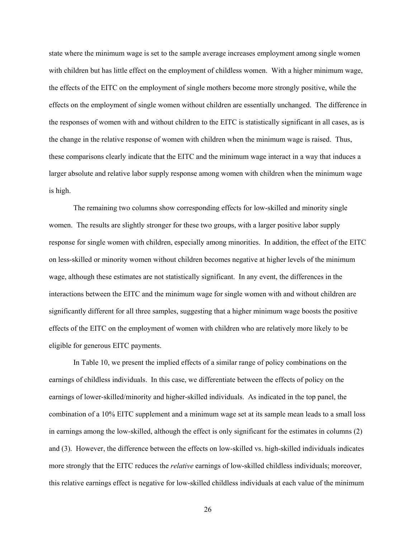state where the minimum wage is set to the sample average increases employment among single women with children but has little effect on the employment of childless women. With a higher minimum wage, the effects of the EITC on the employment of single mothers become more strongly positive, while the effects on the employment of single women without children are essentially unchanged. The difference in the responses of women with and without children to the EITC is statistically significant in all cases, as is the change in the relative response of women with children when the minimum wage is raised. Thus, these comparisons clearly indicate that the EITC and the minimum wage interact in a way that induces a larger absolute and relative labor supply response among women with children when the minimum wage is high.

The remaining two columns show corresponding effects for low-skilled and minority single women. The results are slightly stronger for these two groups, with a larger positive labor supply response for single women with children, especially among minorities. In addition, the effect of the EITC on less-skilled or minority women without children becomes negative at higher levels of the minimum wage, although these estimates are not statistically significant. In any event, the differences in the interactions between the EITC and the minimum wage for single women with and without children are significantly different for all three samples, suggesting that a higher minimum wage boosts the positive effects of the EITC on the employment of women with children who are relatively more likely to be eligible for generous EITC payments.

In Table 10, we present the implied effects of a similar range of policy combinations on the earnings of childless individuals. In this case, we differentiate between the effects of policy on the earnings of lower-skilled/minority and higher-skilled individuals. As indicated in the top panel, the combination of a 10% EITC supplement and a minimum wage set at its sample mean leads to a small loss in earnings among the low-skilled, although the effect is only significant for the estimates in columns (2) and (3). However, the difference between the effects on low-skilled vs. high-skilled individuals indicates more strongly that the EITC reduces the *relative* earnings of low-skilled childless individuals; moreover, this relative earnings effect is negative for low-skilled childless individuals at each value of the minimum

26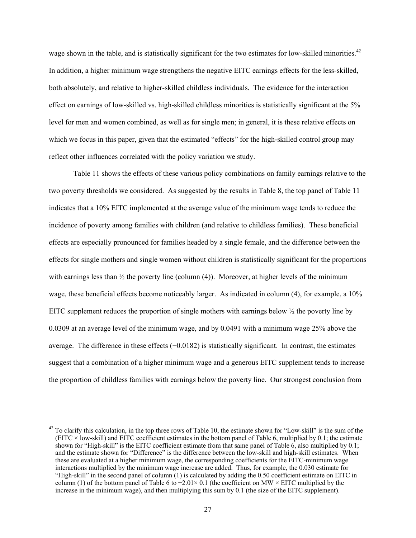wage shown in the table, and is statistically significant for the two estimates for low-skilled minorities.<sup>42</sup> In addition, a higher minimum wage strengthens the negative EITC earnings effects for the less-skilled, both absolutely, and relative to higher-skilled childless individuals. The evidence for the interaction effect on earnings of low-skilled vs. high-skilled childless minorities is statistically significant at the 5% level for men and women combined, as well as for single men; in general, it is these relative effects on which we focus in this paper, given that the estimated "effects" for the high-skilled control group may reflect other influences correlated with the policy variation we study.

Table 11 shows the effects of these various policy combinations on family earnings relative to the two poverty thresholds we considered. As suggested by the results in Table 8, the top panel of Table 11 indicates that a 10% EITC implemented at the average value of the minimum wage tends to reduce the incidence of poverty among families with children (and relative to childless families). These beneficial effects are especially pronounced for families headed by a single female, and the difference between the effects for single mothers and single women without children is statistically significant for the proportions with earnings less than  $\frac{1}{2}$  the poverty line (column (4)). Moreover, at higher levels of the minimum wage, these beneficial effects become noticeably larger. As indicated in column (4), for example, a 10% EITC supplement reduces the proportion of single mothers with earnings below  $\frac{1}{2}$  the poverty line by 0.0309 at an average level of the minimum wage, and by 0.0491 with a minimum wage 25% above the average. The difference in these effects (−0.0182) is statistically significant. In contrast, the estimates suggest that a combination of a higher minimum wage and a generous EITC supplement tends to increase the proportion of childless families with earnings below the poverty line. Our strongest conclusion from

 $\overline{a}$  $42$  To clarify this calculation, in the top three rows of Table 10, the estimate shown for "Low-skill" is the sum of the (EITC  $\times$  low-skill) and EITC coefficient estimates in the bottom panel of Table 6, multiplied by 0.1; the estimate shown for "High-skill" is the EITC coefficient estimate from that same panel of Table 6, also multiplied by 0.1; and the estimate shown for "Difference" is the difference between the low-skill and high-skill estimates. When these are evaluated at a higher minimum wage, the corresponding coefficients for the EITC-minimum wage interactions multiplied by the minimum wage increase are added. Thus, for example, the 0.030 estimate for "High-skill" in the second panel of column (1) is calculated by adding the 0.50 coefficient estimate on EITC in column (1) of the bottom panel of Table 6 to  $-2.01 \times 0.1$  (the coefficient on MW × EITC multiplied by the increase in the minimum wage), and then multiplying this sum by 0.1 (the size of the EITC supplement).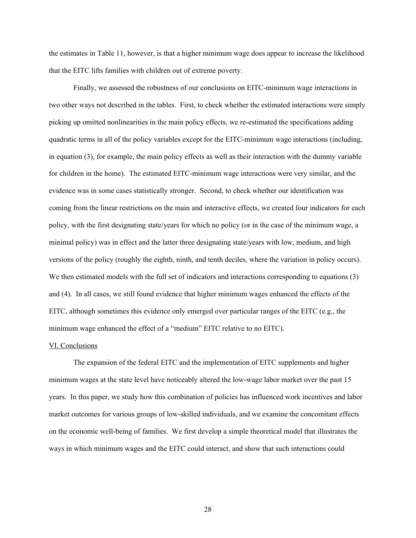the estimates in Table 11, however, is that a higher minimum wage does appear to increase the likelihood that the EITC lifts families with children out of extreme poverty.

Finally, we assessed the robustness of our conclusions on EITC-minimum wage interactions in two other ways not described in the tables. First, to check whether the estimated interactions were simply picking up omitted nonlinearities in the main policy effects, we re-estimated the specifications adding quadratic terms in all of the policy variables except for the EITC-minimum wage interactions (including, in equation (3), for example, the main policy effects as well as their interaction with the dummy variable for children in the home). The estimated EITC-minimum wage interactions were very similar, and the evidence was in some cases statistically stronger. Second, to check whether our identification was coming from the linear restrictions on the main and interactive effects, we created four indicators for each policy, with the first designating state/years for which no policy (or in the case of the minimum wage, a minimal policy) was in effect and the latter three designating state/years with low, medium, and high versions of the policy (roughly the eighth, ninth, and tenth deciles, where the variation in policy occurs). We then estimated models with the full set of indicators and interactions corresponding to equations (3) and (4). In all cases, we still found evidence that higher minimum wages enhanced the effects of the EITC, although sometimes this evidence only emerged over particular ranges of the EITC (e.g., the minimum wage enhanced the effect of a "medium" EITC relative to no EITC).

## VI. Conclusions

The expansion of the federal EITC and the implementation of EITC supplements and higher minimum wages at the state level have noticeably altered the low-wage labor market over the past 15 years. In this paper, we study how this combination of policies has influenced work incentives and labor market outcomes for various groups of low-skilled individuals, and we examine the concomitant effects on the economic well-being of families. We first develop a simple theoretical model that illustrates the ways in which minimum wages and the EITC could interact, and show that such interactions could

28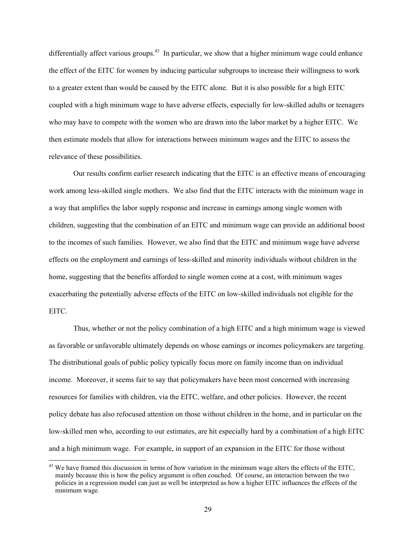differentially affect various groups.<sup>43</sup> In particular, we show that a higher minimum wage could enhance the effect of the EITC for women by inducing particular subgroups to increase their willingness to work to a greater extent than would be caused by the EITC alone. But it is also possible for a high EITC coupled with a high minimum wage to have adverse effects, especially for low-skilled adults or teenagers who may have to compete with the women who are drawn into the labor market by a higher EITC. We then estimate models that allow for interactions between minimum wages and the EITC to assess the relevance of these possibilities.

Our results confirm earlier research indicating that the EITC is an effective means of encouraging work among less-skilled single mothers. We also find that the EITC interacts with the minimum wage in a way that amplifies the labor supply response and increase in earnings among single women with children, suggesting that the combination of an EITC and minimum wage can provide an additional boost to the incomes of such families. However, we also find that the EITC and minimum wage have adverse effects on the employment and earnings of less-skilled and minority individuals without children in the home, suggesting that the benefits afforded to single women come at a cost, with minimum wages exacerbating the potentially adverse effects of the EITC on low-skilled individuals not eligible for the EITC.

Thus, whether or not the policy combination of a high EITC and a high minimum wage is viewed as favorable or unfavorable ultimately depends on whose earnings or incomes policymakers are targeting. The distributional goals of public policy typically focus more on family income than on individual income. Moreover, it seems fair to say that policymakers have been most concerned with increasing resources for families with children, via the EITC, welfare, and other policies. However, the recent policy debate has also refocused attention on those without children in the home, and in particular on the low-skilled men who, according to our estimates, are hit especially hard by a combination of a high EITC and a high minimum wage. For example, in support of an expansion in the EITC for those without

<sup>&</sup>lt;sup>43</sup> We have framed this discussion in terms of how variation in the minimum wage alters the effects of the EITC, mainly because this is how the policy argument is often couched. Of course, an interaction between the two policies in a regression model can just as well be interpreted as how a higher EITC influences the effects of the minimum wage.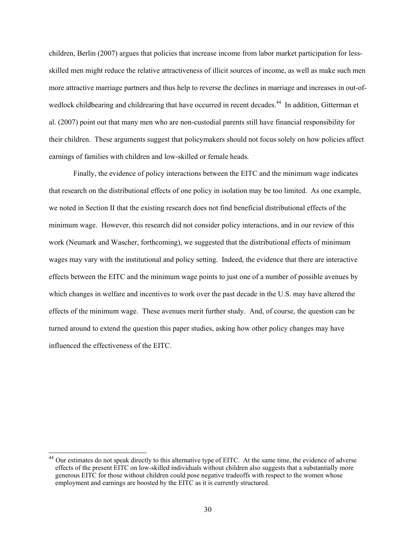children, Berlin (2007) argues that policies that increase income from labor market participation for lessskilled men might reduce the relative attractiveness of illicit sources of income, as well as make such men more attractive marriage partners and thus help to reverse the declines in marriage and increases in out-ofwedlock childbearing and childrearing that have occurred in recent decades.<sup>44</sup> In addition, Gitterman et al. (2007) point out that many men who are non-custodial parents still have financial responsibility for their children. These arguments suggest that policymakers should not focus solely on how policies affect earnings of families with children and low-skilled or female heads.

Finally, the evidence of policy interactions between the EITC and the minimum wage indicates that research on the distributional effects of one policy in isolation may be too limited. As one example, we noted in Section II that the existing research does not find beneficial distributional effects of the minimum wage. However, this research did not consider policy interactions, and in our review of this work (Neumark and Wascher, forthcoming), we suggested that the distributional effects of minimum wages may vary with the institutional and policy setting. Indeed, the evidence that there are interactive effects between the EITC and the minimum wage points to just one of a number of possible avenues by which changes in welfare and incentives to work over the past decade in the U.S. may have altered the effects of the minimum wage. These avenues merit further study. And, of course, the question can be turned around to extend the question this paper studies, asking how other policy changes may have influenced the effectiveness of the EITC.

 $\overline{\phantom{a}}$ 

<sup>&</sup>lt;sup>44</sup> Our estimates do not speak directly to this alternative type of EITC. At the same time, the evidence of adverse effects of the present EITC on low-skilled individuals without children also suggests that a substantially more generous EITC for those without children could pose negative tradeoffs with respect to the women whose employment and earnings are boosted by the EITC as it is currently structured.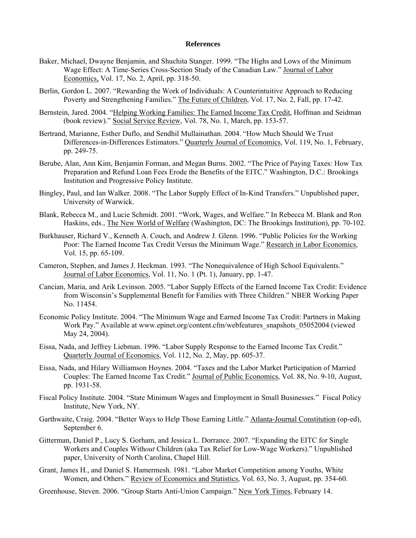#### **References**

- Baker, Michael, Dwayne Benjamin, and Shuchita Stanger. 1999. "The Highs and Lows of the Minimum Wage Effect: A Time-Series Cross-Section Study of the Canadian Law." Journal of Labor Economics, Vol. 17, No. 2, April, pp. 318-50.
- Berlin, Gordon L. 2007. "Rewarding the Work of Individuals: A Counterintuitive Approach to Reducing Poverty and Strengthening Families." The Future of Children, Vol. 17, No. 2, Fall, pp. 17-42.
- Bernstein, Jared. 2004. "Helping Working Families: The Earned Income Tax Credit, Hoffman and Seidman (book review)." Social Service Review, Vol. 78, No. 1, March, pp. 153-57.
- Bertrand, Marianne, Esther Duflo, and Sendhil Mullainathan. 2004. "How Much Should We Trust Differences-in-Differences Estimators." Quarterly Journal of Economics, Vol. 119, No. 1, February, pp. 249-75.
- Berube, Alan, Ann Kim, Benjamin Forman, and Megan Burns. 2002. "The Price of Paying Taxes: How Tax Preparation and Refund Loan Fees Erode the Benefits of the EITC." Washington, D.C.: Brookings Institution and Progressive Policy Institute.
- Bingley, Paul, and Ian Walker. 2008. "The Labor Supply Effect of In-Kind Transfers." Unpublished paper, University of Warwick.
- Blank, Rebecca M., and Lucie Schmidt. 2001. "Work, Wages, and Welfare." In Rebecca M. Blank and Ron Haskins, eds., The New World of Welfare (Washington, DC: The Brookings Institution), pp. 70-102.
- Burkhauser, Richard V., Kenneth A. Couch, and Andrew J. Glenn. 1996. "Public Policies for the Working Poor: The Earned Income Tax Credit Versus the Minimum Wage." Research in Labor Economics, Vol. 15, pp. 65-109.
- Cameron, Stephen, and James J. Heckman. 1993. "The Nonequivalence of High School Equivalents." Journal of Labor Economics, Vol. 11, No. 1 (Pt. 1), January, pp. 1-47.
- Cancian, Maria, and Arik Levinson. 2005. "Labor Supply Effects of the Earned Income Tax Credit: Evidence from Wisconsin's Supplemental Benefit for Families with Three Children." NBER Working Paper No. 11454.
- Economic Policy Institute. 2004. "The Minimum Wage and Earned Income Tax Credit: Partners in Making Work Pay." Available at www.epinet.org/content.cfm/webfeatures\_snapshots\_05052004 (viewed May 24, 2004).
- Eissa, Nada, and Jeffrey Liebman. 1996. "Labor Supply Response to the Earned Income Tax Credit." Quarterly Journal of Economics, Vol. 112, No. 2, May, pp. 605-37.
- Eissa, Nada, and Hilary Williamson Hoynes. 2004. "Taxes and the Labor Market Participation of Married Couples: The Earned Income Tax Credit." Journal of Public Economics, Vol. 88, No. 9-10, August, pp. 1931-58.
- Fiscal Policy Institute. 2004. "State Minimum Wages and Employment in Small Businesses." Fiscal Policy Institute, New York, NY.
- Garthwaite, Craig. 2004. "Better Ways to Help Those Earning Little." Atlanta-Journal Constitution (op-ed), September 6.
- Gitterman, Daniel P., Lucy S. Gorham, and Jessica L. Dorrance. 2007. "Expanding the EITC for Single Workers and Couples With*out* Children (aka Tax Relief for Low-Wage Workers)." Unpublished paper, University of North Carolina, Chapel Hill.
- Grant, James H., and Daniel S. Hamermesh. 1981. "Labor Market Competition among Youths, White Women, and Others." Review of Economics and Statistics, Vol. 63, No. 3, August, pp. 354-60.

Greenhouse, Steven. 2006. "Group Starts Anti-Union Campaign." New York Times, February 14.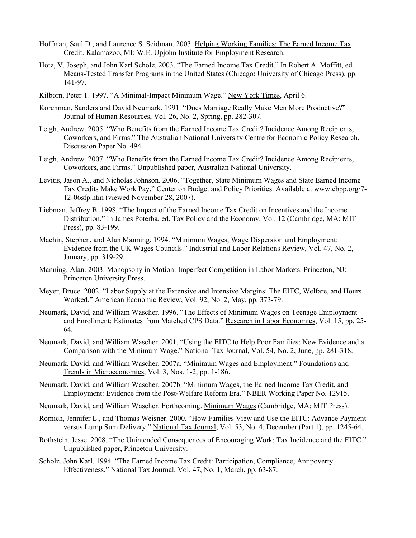- Hoffman, Saul D., and Laurence S. Seidman. 2003. Helping Working Families: The Earned Income Tax Credit. Kalamazoo, MI: W.E. Upjohn Institute for Employment Research.
- Hotz, V. Joseph, and John Karl Scholz. 2003. "The Earned Income Tax Credit." In Robert A. Moffitt, ed. Means-Tested Transfer Programs in the United States (Chicago: University of Chicago Press), pp. 141-97.
- Kilborn, Peter T. 1997. "A Minimal-Impact Minimum Wage." New York Times, April 6.
- Korenman, Sanders and David Neumark. 1991. "Does Marriage Really Make Men More Productive?" Journal of Human Resources, Vol. 26, No. 2, Spring, pp. 282-307.
- Leigh, Andrew. 2005. "Who Benefits from the Earned Income Tax Credit? Incidence Among Recipients, Coworkers, and Firms." The Australian National University Centre for Economic Policy Research, Discussion Paper No. 494.
- Leigh, Andrew. 2007. "Who Benefits from the Earned Income Tax Credit? Incidence Among Recipients, Coworkers, and Firms." Unpublished paper, Australian National University.
- Levitis, Jason A., and Nicholas Johnson. 2006. "Together, State Minimum Wages and State Earned Income Tax Credits Make Work Pay." Center on Budget and Policy Priorities. Available at www.cbpp.org/7- 12-06sfp.htm (viewed November 28, 2007).
- Liebman, Jeffrey B. 1998. "The Impact of the Earned Income Tax Credit on Incentives and the Income Distribution." In James Poterba, ed. Tax Policy and the Economy, Vol. 12 (Cambridge, MA: MIT Press), pp. 83-199.
- Machin, Stephen, and Alan Manning. 1994. "Minimum Wages, Wage Dispersion and Employment: Evidence from the UK Wages Councils." Industrial and Labor Relations Review, Vol. 47, No. 2, January, pp. 319-29.
- Manning, Alan. 2003. Monopsony in Motion: Imperfect Competition in Labor Markets. Princeton, NJ: Princeton University Press.
- Meyer, Bruce. 2002. "Labor Supply at the Extensive and Intensive Margins: The EITC, Welfare, and Hours Worked." American Economic Review, Vol. 92, No. 2, May, pp. 373-79.
- Neumark, David, and William Wascher. 1996. "The Effects of Minimum Wages on Teenage Employment and Enrollment: Estimates from Matched CPS Data." Research in Labor Economics, Vol. 15, pp. 25-64.
- Neumark, David, and William Wascher. 2001. "Using the EITC to Help Poor Families: New Evidence and a Comparison with the Minimum Wage." National Tax Journal, Vol. 54, No. 2, June, pp. 281-318.
- Neumark, David, and William Wascher. 2007a. "Minimum Wages and Employment." Foundations and Trends in Microeconomics, Vol. 3, Nos. 1-2, pp. 1-186.
- Neumark, David, and William Wascher. 2007b. "Minimum Wages, the Earned Income Tax Credit, and Employment: Evidence from the Post-Welfare Reform Era." NBER Working Paper No. 12915.
- Neumark, David, and William Wascher. Forthcoming. Minimum Wages (Cambridge, MA: MIT Press).
- Romich, Jennifer L., and Thomas Weisner. 2000. "How Families View and Use the EITC: Advance Payment versus Lump Sum Delivery." National Tax Journal, Vol. 53, No. 4, December (Part 1), pp. 1245-64.
- Rothstein, Jesse. 2008. "The Unintended Consequences of Encouraging Work: Tax Incidence and the EITC." Unpublished paper, Princeton University.
- Scholz, John Karl. 1994. "The Earned Income Tax Credit: Participation, Compliance, Antipoverty Effectiveness." National Tax Journal, Vol. 47, No. 1, March, pp. 63-87.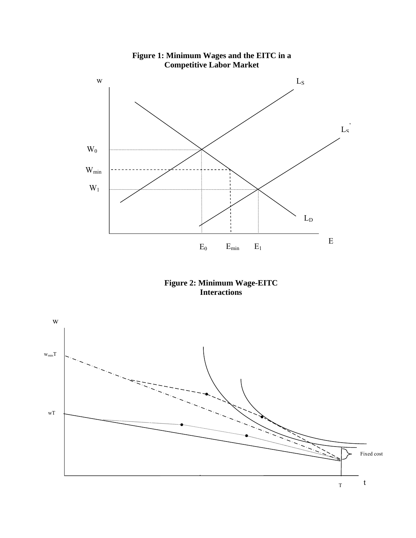

**Figure 1: Minimum Wages and the EITC in a Competitive Labor Market**



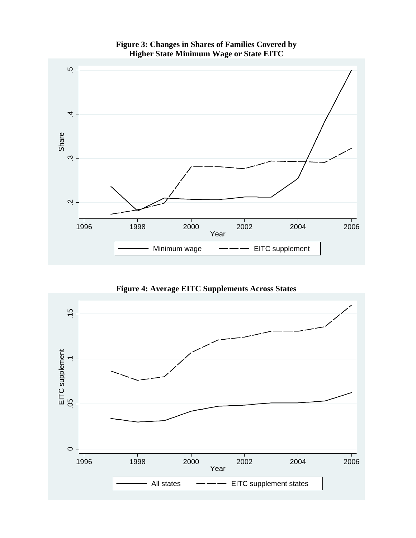

**Figure 3: Changes in Shares of Families Covered by Higher State Minimum Wage or State EITC** 

**Figure 4: Average EITC Supplements Across States** 

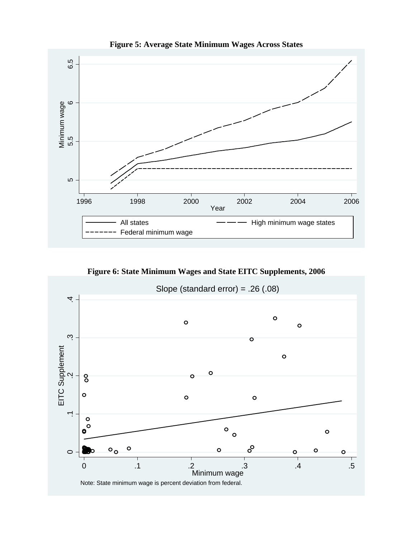

**Figure 5: Average State Minimum Wages Across States** 

**Figure 6: State Minimum Wages and State EITC Supplements, 2006** 

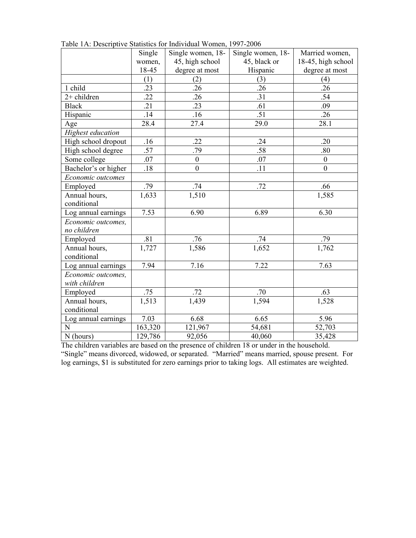|                          | Single  | Single women, 18- | Single women, 18- | Married women,     |
|--------------------------|---------|-------------------|-------------------|--------------------|
|                          | women,  | 45, high school   | 45, black or      | 18-45, high school |
|                          | 18-45   | degree at most    | Hispanic          | degree at most     |
|                          | (1)     | (2)               | (3)               | (4)                |
| 1 child                  | .23     | .26               | .26               | .26                |
| $2+$ children            | .22     | .26               | .31               | .54                |
| <b>Black</b>             | .21     | .23               | .61               | .09                |
| Hispanic                 | .14     | .16               | .51               | .26                |
| Age                      | 28.4    | 27.4              | 29.0              | 28.1               |
| <b>Highest</b> education |         |                   |                   |                    |
| High school dropout      | .16     | .22               | .24               | .20                |
| High school degree       | .57     | .79               | .58               | .80                |
| Some college             | .07     | $\mathbf{0}$      | .07               | $\boldsymbol{0}$   |
| Bachelor's or higher     | .18     | $\boldsymbol{0}$  | .11               | $\mathbf{0}$       |
| Economic outcomes        |         |                   |                   |                    |
| Employed                 | .79     | .74               | .72               | .66                |
| Annual hours,            | 1,633   | 1,510             |                   | 1,585              |
| conditional              |         |                   |                   |                    |
| Log annual earnings      | 7.53    | 6.90              | 6.89              | 6.30               |
| Economic outcomes,       |         |                   |                   |                    |
| no children              |         |                   |                   |                    |
| Employed                 | .81     | .76               | .74               | .79                |
| Annual hours,            | 1,727   | 1,586             | 1,652             | 1,762              |
| conditional              |         |                   |                   |                    |
| Log annual earnings      | 7.94    | 7.16              | 7.22              | 7.63               |
| Economic outcomes,       |         |                   |                   |                    |
| with children            |         |                   |                   |                    |
| Employed                 | .75     | .72               | .70               | .63                |
| Annual hours,            | 1,513   | 1,439             | 1,594             | 1,528              |
| conditional              |         |                   |                   |                    |
| Log annual earnings      | 7.03    | 6.68              | 6.65              | 5.96               |
| N                        | 163,320 | 121,967           | 54,681            | 52,703             |
| N (hours)                | 129,786 | 92,056            | 40,060            | 35,428             |

Table 1A: Descriptive Statistics for Individual Women, 1997-2006

The children variables are based on the presence of children 18 or under in the household. "Single" means divorced, widowed, or separated. "Married" means married, spouse present. For log earnings, \$1 is substituted for zero earnings prior to taking logs. All estimates are weighted.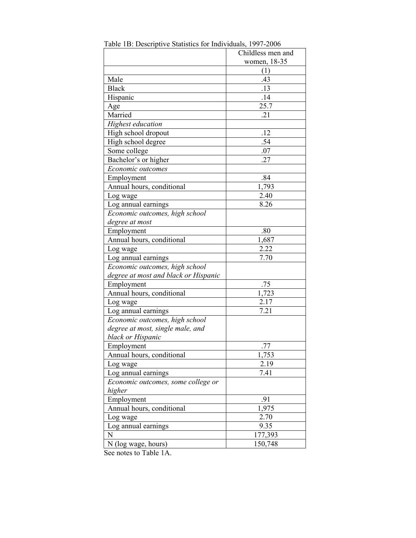|                                      | Childless men and |
|--------------------------------------|-------------------|
|                                      | women, 18-35      |
|                                      | (1)               |
| Male                                 | .43               |
| <b>Black</b>                         | .13               |
| Hispanic                             | .14               |
| Age                                  | 25.7              |
| Married                              | .21               |
| Highest education                    |                   |
| High school dropout                  | .12               |
| High school degree                   | .54               |
| Some college                         | .07               |
| Bachelor's or higher                 | .27               |
| Economic outcomes                    |                   |
| Employment                           | .84               |
| Annual hours, conditional            | 1,793             |
| Log wage                             | 2.40              |
| Log annual earnings                  | 8.26              |
| Economic outcomes, high school       |                   |
| degree at most                       |                   |
| Employment                           | .80               |
| Annual hours, conditional            | 1,687             |
| Log wage                             | 2.22              |
| Log annual earnings                  | 7.70              |
| Economic outcomes, high school       |                   |
| degree at most and black or Hispanic |                   |
| Employment                           | .75               |
| Annual hours, conditional            | 1,723             |
| Log wage                             | 2.17              |
| Log annual earnings                  | 7.21              |
| Economic outcomes, high school       |                   |
| degree at most, single male, and     |                   |
| black or Hispanic                    |                   |
| Employment                           | .77               |
| Annual hours, conditional            | 1,753             |
| Log wage                             | 2.19              |
| Log annual earnings                  | 7.41              |
| Economic outcomes, some college or   |                   |
| higher                               |                   |
| Employment                           | .91               |
| Annual hours, conditional            | 1,975             |
| Log wage                             | 2.70              |
| Log annual earnings                  | 9.35              |
| N                                    | 177,393           |
| N (log wage, hours)                  | 150,748           |

Table 1B: Descriptive Statistics for Individuals, 1997-2006

See notes to Table 1A.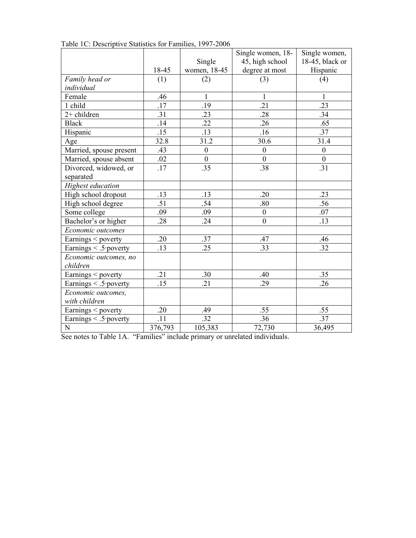|                            |                  |                  | Single women, 18- | Single women,    |
|----------------------------|------------------|------------------|-------------------|------------------|
|                            |                  | Single           | 45, high school   | 18-45, black or  |
|                            | 18-45            | women, 18-45     | degree at most    | Hispanic         |
| Family head or             | (1)              | (2)              | (3)               | (4)              |
| individual                 |                  |                  |                   |                  |
| Female                     | .46              | 1                | 1                 | 1                |
| 1 child                    | .17              | .19              | .21               | .23              |
| $2+$ children              | .31              | .23              | .28               | .34              |
| <b>Black</b>               | .14              | .22              | .26               | .65              |
| Hispanic                   | .15              | .13              | .16               | .37              |
| Age                        | 32.8             | 31.2             | 30.6              | 31.4             |
| Married, spouse present    | .43              | $\boldsymbol{0}$ | $\boldsymbol{0}$  | $\boldsymbol{0}$ |
| Married, spouse absent     | .02              | $\boldsymbol{0}$ | $\boldsymbol{0}$  | $\boldsymbol{0}$ |
| Divorced, widowed, or      | .17              | .35              | .38               | $\overline{.31}$ |
| separated                  |                  |                  |                   |                  |
| Highest education          |                  |                  |                   |                  |
| High school dropout        | .13              | .13              | .20               | .23              |
| High school degree         | .51              | .54              | .80               | .56              |
| Some college               | .09              | .09              | $\boldsymbol{0}$  | .07              |
| Bachelor's or higher       | .28              | .24              | $\boldsymbol{0}$  | .13              |
| Economic outcomes          |                  |                  |                   |                  |
| Earnings < poverty         | .20              | .37              | .47               | .46              |
| Earnings < .5 poverty      | .13              | .25              | .33               | .32              |
| Economic outcomes, no      |                  |                  |                   |                  |
| children                   |                  |                  |                   |                  |
| Earnings < poverty         | .21              | .30              | .40               | .35              |
| Earnings $\leq$ .5 poverty | .15              | .21              | .29               | .26              |
| Economic outcomes,         |                  |                  |                   |                  |
| with children              |                  |                  |                   |                  |
| Earnings $\leq$ poverty    | .20              | .49              | .55               | .55              |
| Earnings < .5 poverty      | $\overline{.11}$ | .32              | .36               | .37              |
| $\mathbf N$                | 376,793          | 105,383          | 72,730            | 36,495           |

Table 1C: Descriptive Statistics for Families, 1997-2006

See notes to Table 1A. "Families" include primary or unrelated individuals.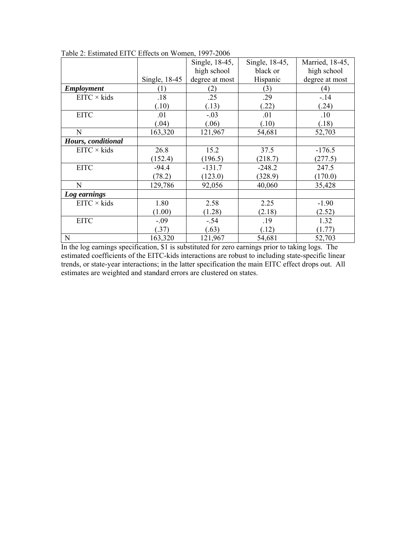|                    |               | Single, 18-45, | Single, 18-45, | Married, 18-45, |
|--------------------|---------------|----------------|----------------|-----------------|
|                    |               | high school    | black or       | high school     |
|                    | Single, 18-45 | degree at most | Hispanic       | degree at most  |
| <b>Employment</b>  | (1)           | (2)            | (3)            | (4)             |
| $EITC \times kids$ | .18           | .25            | .29            | $-14$           |
|                    | (.10)         | (.13)          | (22)           | (24)            |
| <b>EITC</b>        | .01           | $-.03$         | .01            | .10             |
|                    | (.04)         | (.06)          | (.10)          | (0.18)          |
| N                  | 163,320       | 121,967        | 54,681         | 52,703          |
| Hours, conditional |               |                |                |                 |
| $EITC \times kids$ | 26.8          | 15.2           | 37.5           | $-176.5$        |
|                    | (152.4)       | (196.5)        | (218.7)        | (277.5)         |
| <b>EITC</b>        | $-94.4$       | $-131.7$       | $-248.2$       | 247.5           |
|                    | (78.2)        | (123.0)        | (328.9)        | (170.0)         |
| N                  | 129,786       | 92,056         | 40,060         | 35,428          |
| Log earnings       |               |                |                |                 |
| $EITC \times kids$ | 1.80          | 2.58           | 2.25           | $-1.90$         |
|                    | (1.00)        | (1.28)         | (2.18)         | (2.52)          |
| <b>EITC</b>        | $-.09$        | $-.54$         | .19            | 1.32            |
|                    | (.37)         | (.63)          | (.12)          | (1.77)          |
| $\mathbf N$        | 163,320       | 121,967        | 54,681         | 52,703          |

Table 2: Estimated EITC Effects on Women, 1997-2006

In the log earnings specification, \$1 is substituted for zero earnings prior to taking logs. The estimated coefficients of the EITC-kids interactions are robust to including state-specific linear trends, or state-year interactions; in the latter specification the main EITC effect drops out. All estimates are weighted and standard errors are clustered on states.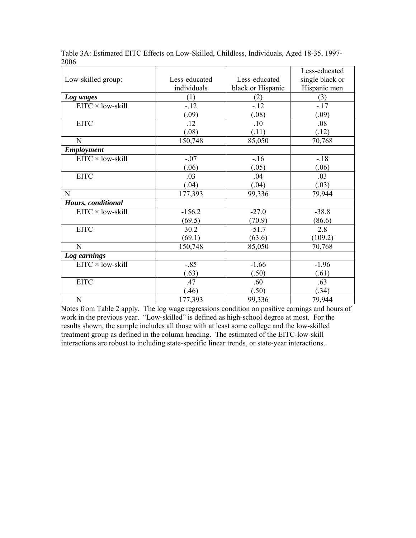|                          |               |                   | Less-educated   |
|--------------------------|---------------|-------------------|-----------------|
| Low-skilled group:       | Less-educated | Less-educated     | single black or |
|                          | individuals   | black or Hispanic | Hispanic men    |
| Log wages                | (1)           | (2)               | (3)             |
| EITC × low-skill         | $-12$         | $-12$             | $-17$           |
|                          | (.09)         | (.08)             | (.09)           |
| <b>EITC</b>              | .12           | .10               | .08             |
|                          | (.08)         | (.11)             | (.12)           |
| N                        | 150,748       | 85,050            | 70,768          |
| <b>Employment</b>        |               |                   |                 |
| $EITC \times low-skill$  | $-.07$        | $-16$             | $-18$           |
|                          | (.06)         | (.05)             | (.06)           |
| <b>EITC</b>              | .03           | .04               | .03             |
|                          | (.04)         | (.04)             | (.03)           |
| N                        | 177,393       | 99,336            | 79,944          |
| Hours, conditional       |               |                   |                 |
| $EITC \times low$ -skill | $-156.2$      | $-27.0$           | $-38.8$         |
|                          | (69.5)        | (70.9)            | (86.6)          |
| <b>EITC</b>              | 30.2          | $-51.7$           | 2.8             |
|                          | (69.1)        | (63.6)            | (109.2)         |
| N                        | 150,748       | 85,050            | 70,768          |
| Log earnings             |               |                   |                 |
| $EITC \times low-skill$  | $-.85$        | $-1.66$           | $-1.96$         |
|                          | (.63)         | (.50)             | (.61)           |
| <b>EITC</b>              | .47           | .60               | .63             |
|                          | (.46)         | (.50)             | (.34)           |
| ${\bf N}$                | 177,393       | 99,336            | 79,944          |

Table 3A: Estimated EITC Effects on Low-Skilled, Childless, Individuals, Aged 18-35, 1997- 2006

Notes from Table 2 apply. The log wage regressions condition on positive earnings and hours of work in the previous year. "Low-skilled" is defined as high-school degree at most. For the results shown, the sample includes all those with at least some college and the low-skilled treatment group as defined in the column heading. The estimated of the EITC-low-skill interactions are robust to including state-specific linear trends, or state-year interactions.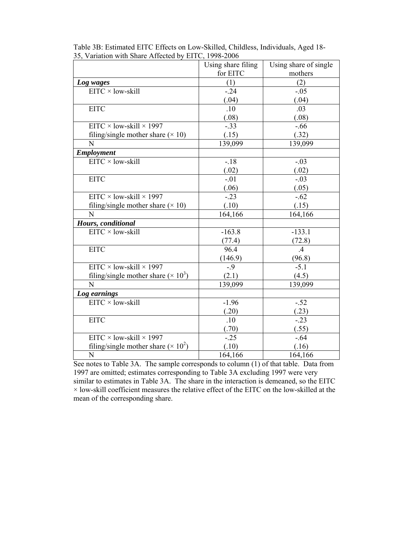|                                            | Using share filing | Using share of single |
|--------------------------------------------|--------------------|-----------------------|
|                                            | for EITC           | mothers               |
| Log wages                                  | (1)                | (2)                   |
| $EITC \times low-skill$                    | $-24$              | $-.05$                |
|                                            | (.04)              | (.04)                 |
| <b>EITC</b>                                | .10                | .03                   |
|                                            | (.08)              | (.08)                 |
| $EITC \times low-skill \times 1997$        | $-.33$             | $-0.66$               |
| filing/single mother share $(\times 10)$   | (.15)              | (.32)                 |
| N                                          | 139,099            | 139,099               |
| <b>Employment</b>                          |                    |                       |
| $EITC \times low-skill$                    | $-.18$             | $-.03$                |
|                                            | (.02)              | (.02)                 |
| <b>EITC</b>                                | $-.01$             | $-.03$                |
|                                            | (.06)              | (.05)                 |
| $EITC \times low$ -skill $\times$ 1997     | $-.23$             | $-.62$                |
| filing/single mother share $(\times 10)$   | (.10)              | (.15)                 |
| N                                          | 164,166            | 164,166               |
| Hours, conditional                         |                    |                       |
| $EITC \times low$ -skill                   | $-163.8$           | $-133.1$              |
|                                            | (77.4)             | (72.8)                |
| <b>EITC</b>                                | 96.4               | .4                    |
|                                            | (146.9)            | (96.8)                |
| $EITC \times low-skill \times 1997$        | $-0.9$             | $-5.1$                |
| filing/single mother share $(\times 10^3)$ | (2.1)              | (4.5)                 |
| N                                          | 139,099            | 139,099               |
| Log earnings                               |                    |                       |
| $EITC \times low-skill$                    | $-1.96$            | $-.52$                |
|                                            | (.20)              | (.23)                 |
| <b>EITC</b>                                | .10                | $-.23$                |
|                                            | (.70)              | (.55)                 |
| $EITC \times low$ -skill $\times$ 1997     | $-.25$             | $-.64$                |
| filing/single mother share $(\times 10^2)$ | (.10)              | (.16)                 |
| N                                          | 164,166            | 164,166               |

Table 3B: Estimated EITC Effects on Low-Skilled, Childless, Individuals, Aged 18- 35, Variation with Share Affected by EITC, 1998-2006

See notes to Table 3A. The sample corresponds to column (1) of that table. Data from 1997 are omitted; estimates corresponding to Table 3A excluding 1997 were very similar to estimates in Table 3A. The share in the interaction is demeaned, so the EITC  $\times$  low-skill coefficient measures the relative effect of the EITC on the low-skilled at the mean of the corresponding share.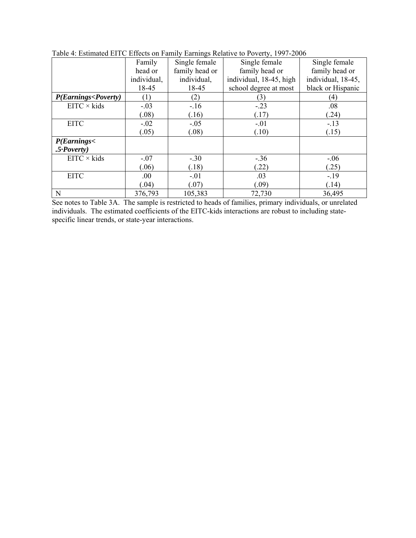|                                                                                                                  | Family           | Single female  | Single female           | Single female      |
|------------------------------------------------------------------------------------------------------------------|------------------|----------------|-------------------------|--------------------|
|                                                                                                                  | head or          | family head or | family head or          | family head or     |
|                                                                                                                  | individual,      | individual,    | individual, 18-45, high | individual, 18-45, |
|                                                                                                                  | 18-45            | 18-45          | school degree at most   | black or Hispanic  |
| P(Earnings <poverty)< th=""><th><math>\left(1\right)</math></th><th>(2)</th><th>(3)</th><th>(4)</th></poverty)<> | $\left(1\right)$ | (2)            | (3)                     | (4)                |
| $EITC \times kids$                                                                                               | $-.03$           | $-16$          | $-.23$                  | .08                |
|                                                                                                                  | (.08)            | (.16)          | (.17)                   | (.24)              |
| <b>EITC</b>                                                                                                      | $-.02$           | $-.05$         | $-.01$                  | $-13$              |
|                                                                                                                  | (.05)            | (.08)          | (.10)                   | (.15)              |
| P(Earnings <sub>1</sub> )                                                                                        |                  |                |                         |                    |
| $.5$ Poverty)                                                                                                    |                  |                |                         |                    |
| $EITC \times kids$                                                                                               | $-.07$           | $-.30$         | $-.36$                  | $-.06$             |
|                                                                                                                  | (.06)            | (.18)          | (22)                    | (.25)              |
| <b>EITC</b>                                                                                                      | .00              | $-.01$         | .03                     | $-19$              |
|                                                                                                                  | (.04)            | (.07)          | (.09)                   | (.14)              |
| N                                                                                                                | 376,793          | 105,383        | 72,730                  | 36,495             |

Table 4: Estimated EITC Effects on Family Earnings Relative to Poverty, 1997-2006

See notes to Table 3A. The sample is restricted to heads of families, primary individuals, or unrelated individuals. The estimated coefficients of the EITC-kids interactions are robust to including statespecific linear trends, or state-year interactions.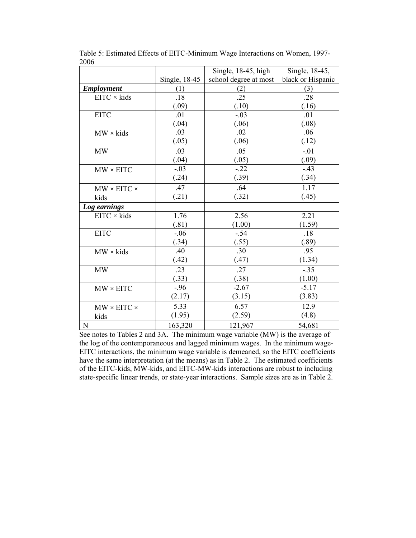|                                 |               | Single, 18-45, high   | Single, 18-45,    |
|---------------------------------|---------------|-----------------------|-------------------|
|                                 | Single, 18-45 | school degree at most | black or Hispanic |
| <b>Employment</b>               | (1)           | (2)                   | (3)               |
| $EITC \times kids$              | .18           | .25                   | .28               |
|                                 | (.09)         | (.10)                 | (.16)             |
| <b>EITC</b>                     | .01           | $-.03$                | .01               |
|                                 | (.04)         | (.06)                 | (.08)             |
| $MW \times$ kids                | .03           | .02                   | .06               |
|                                 | (.05)         | (.06)                 | (.12)             |
| <b>MW</b>                       | .03           | .05                   | $-.01$            |
|                                 | (.04)         | (.05)                 | (.09)             |
| $MW \times EITC$                | $-.03$        | $-.22$                | $-.43$            |
|                                 | (.24)         | (.39)                 | (.34)             |
| $MW \times EITC \times$         | .47           | .64                   | 1.17              |
| kids                            | (.21)         | (.32)                 | (.45)             |
| Log earnings                    |               |                       |                   |
| $EITC \times kids$              | 1.76          | 2.56                  | 2.21              |
|                                 | (.81)         | (1.00)                | (1.59)            |
| <b>EITC</b>                     | $-.06$        | $-.54$                | .18               |
|                                 | (.34)         | (.55)                 | (.89)             |
| $MW \times$ kids                | .40           | .30                   | .95               |
|                                 | (.42)         | (.47)                 | (1.34)            |
| $\ensuremath{\text{MW}}\xspace$ | .23           | .27                   | $-35$             |
|                                 | (.33)         | (.38)                 | (1.00)            |
| $MW \times EITC$                | $-.96$        | $-2.67$               | $-5.17$           |
|                                 | (2.17)        | (3.15)                | (3.83)            |
| $MW \times EITC \times$         | 5.33          | 6.57                  | 12.9              |
| kids                            | (1.95)        | (2.59)                | (4.8)             |
| N                               | 163,320       | 121,967               | 54,681            |

Table 5: Estimated Effects of EITC-Minimum Wage Interactions on Women, 1997- 2006

See notes to Tables 2 and 3A. The minimum wage variable (MW) is the average of the log of the contemporaneous and lagged minimum wages. In the minimum wage-EITC interactions, the minimum wage variable is demeaned, so the EITC coefficients have the same interpretation (at the means) as in Table 2. The estimated coefficients of the EITC-kids, MW-kids, and EITC-MW-kids interactions are robust to including state-specific linear trends, or state-year interactions. Sample sizes are as in Table 2.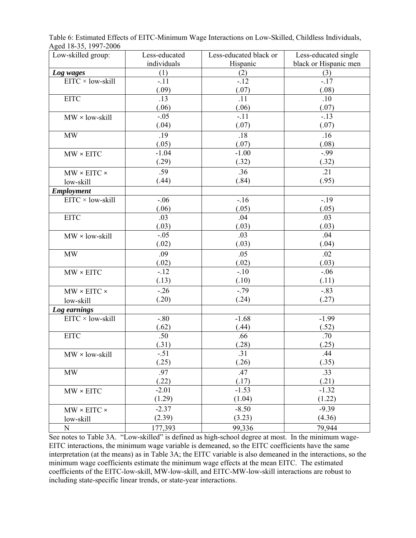Table 6: Estimated Effects of EITC-Minimum Wage Interactions on Low-Skilled, Childless Individuals, Aged 18-35, 1997-2006

| Low-skilled group:      | Less-educated | Less-educated black or | Less-educated single  |
|-------------------------|---------------|------------------------|-----------------------|
|                         | individuals   | Hispanic               | black or Hispanic men |
| Log wages               | (1)           | (2)                    | (3)                   |
| EITC × low-skill        | $-.11$        | $-12$                  | $-17$                 |
|                         | (.09)         | (.07)                  | (.08)                 |
| <b>EITC</b>             | .13           | .11                    | .10                   |
|                         | (.06)         | (.06)                  | (.07)                 |
| $MW \times low$ -skill  | $-.05$        | $-.11$                 | $-.13$                |
|                         | (.04)         | (.07)                  | (.07)                 |
| <b>MW</b>               | .19           | .18                    | .16                   |
|                         | (.05)         | (.07)                  | (.08)                 |
| $MW \times EITC$        | $-1.04$       | $-1.00$                | $-.99$                |
|                         | (.29)         | (.32)                  | (.32)                 |
| $MW \times EITC \times$ | .59           | .36                    | .21                   |
| low-skill               | (.44)         | (.84)                  | (.95)                 |
| <b>Employment</b>       |               |                        |                       |
| EITC × low-skill        | $-.06$        | $-16$                  | $-19$                 |
|                         | (.06)         | (.05)                  | (.05)                 |
| <b>EITC</b>             | .03           | .04                    | .03                   |
|                         | (.03)         | (.03)                  | (.03)                 |
| $MW \times low$ -skill  | $-.05$        | .03                    | .04                   |
|                         | (.02)         | (.03)                  | (.04)                 |
| MW                      | .09           | .05                    | .02                   |
|                         | (.02)         | (.02)                  | (.03)                 |
| $MW \times EITC$        | $-.12$        | $-.10$                 | $-.06$                |
|                         | (.13)         | (.10)                  | (.11)                 |
| $MW \times EITC \times$ | $-0.26$       | $-0.79$                | $-0.83$               |
| low-skill               | (.20)         | (.24)                  | (.27)                 |
| Log earnings            |               |                        |                       |
| EITC × low-skill        | $-.80$        | $-1.68$                | $-1.99$               |
|                         | (.62)         | (.44)                  | (.52)                 |
| <b>EITC</b>             | .50           | .66                    | .70                   |
|                         | (.31)         | (.28)                  | (.25)                 |
| MW × low-skill          | $-.51$        | 31                     | .44                   |
|                         | (.25)         | (.26)                  | (.35)                 |
| MW                      | .97           | .47                    | .33                   |
|                         | (.22)         | (.17)                  | (.21)                 |
| $MW \times EITC$        | $-2.01$       | $-1.53$                | $-1.32$               |
|                         | (1.29)        | (1.04)                 | (1.22)                |
| $MW \times EITC \times$ | $-2.37$       | $-8.50$                | $-9.39$               |
| low-skill               | (2.39)        | (3.23)                 | (4.36)                |
| ${\bf N}$               | 177,393       | 99,336                 | 79,944                |

See notes to Table 3A. "Low-skilled" is defined as high-school degree at most. In the minimum wage-EITC interactions, the minimum wage variable is demeaned, so the EITC coefficients have the same interpretation (at the means) as in Table 3A; the EITC variable is also demeaned in the interactions, so the minimum wage coefficients estimate the minimum wage effects at the mean EITC. The estimated coefficients of the EITC-low-skill, MW-low-skill, and EITC-MW-low-skill interactions are robust to including state-specific linear trends, or state-year interactions.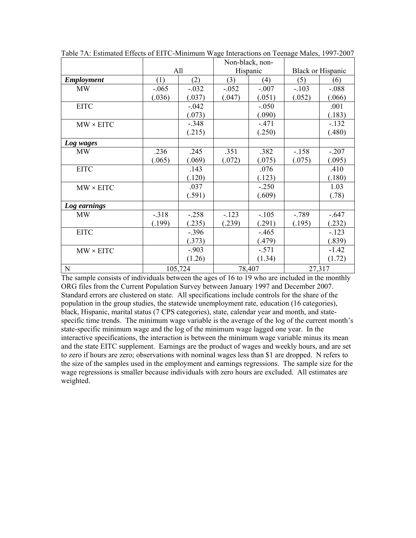|                  |         |         |         | Non-black, non- |         |                          |  |
|------------------|---------|---------|---------|-----------------|---------|--------------------------|--|
|                  |         | All     |         | Hispanic        |         | <b>Black or Hispanic</b> |  |
| Employment       | (1)     | (2)     | (3)     | (4)             | (5)     | (6)                      |  |
| <b>MW</b>        | $-.065$ | $-.032$ | $-.052$ | $-.007$         | $-.103$ | $-.088$                  |  |
|                  | (.036)  | (.037)  | (.047)  | (.051)          | (.052)  | (.066)                   |  |
| <b>EITC</b>      |         | $-.042$ |         | $-.050$         |         | .001                     |  |
|                  |         | (.073)  |         | (.090)          |         | (.183)                   |  |
| $MW \times EITC$ |         | $-.348$ |         | $-.471$         |         | $-132$                   |  |
|                  |         | (.215)  |         | (.250)          |         | (.480)                   |  |
| Log wages        |         |         |         |                 |         |                          |  |
| <b>MW</b>        | .236    | .245    | .351    | .382            | $-.158$ | $-.207$                  |  |
|                  | (.065)  | (.069)  | (.072)  | (.075)          | (.075)  | (.095)                   |  |
| <b>EITC</b>      |         | .143    |         | .076            |         | .410                     |  |
|                  |         | (.120)  |         | (.123)          |         | (.180)                   |  |
| $MW \times EITC$ |         | .037    |         | $-.250$         |         | 1.03                     |  |
|                  |         | (.591)  |         | (.609)          |         | (.78)                    |  |
| Log earnings     |         |         |         |                 |         |                          |  |
| <b>MW</b>        | $-.318$ | $-.258$ | $-.123$ | $-.105$         | $-789$  | $-.647$                  |  |
|                  | (.199)  | (.235)  | (.239)  | (.291)          | (.195)  | (.232)                   |  |
| <b>EITC</b>      |         | $-.396$ |         | $-.465$         |         | $-.123$                  |  |
|                  |         | (.373)  |         | (.479)          |         | (.839)                   |  |
| $MW \times EITC$ |         | $-.903$ |         | $-.571$         |         | $-1.42$                  |  |
|                  |         | (1.26)  |         | (1.34)          |         | (1.72)                   |  |
| ${\bf N}$        |         | 105,724 |         | 78,407          |         | 27,317                   |  |

Table 7A: Estimated Effects of EITC-Minimum Wage Interactions on Teenage Males, 1997-2007

The sample consists of individuals between the ages of 16 to 19 who are included in the monthly ORG files from the Current Population Survey between January 1997 and December 2007. Standard errors are clustered on state. All specifications include controls for the share of the population in the group studies, the statewide unemployment rate, education (16 categories), black, Hispanic, marital status (7 CPS categories), state, calendar year and month, and statespecific time trends. The minimum wage variable is the average of the log of the current month's state-specific minimum wage and the log of the minimum wage lagged one year. In the interactive specifications, the interaction is between the minimum wage variable minus its mean and the state EITC supplement. Earnings are the product of wages and weekly hours, and are set to zero if hours are zero; observations with nominal wages less than \$1 are dropped. N refers to the size of the samples used in the employment and earnings regressions. The sample size for the wage regressions is smaller because individuals with zero hours are excluded. All estimates are weighted.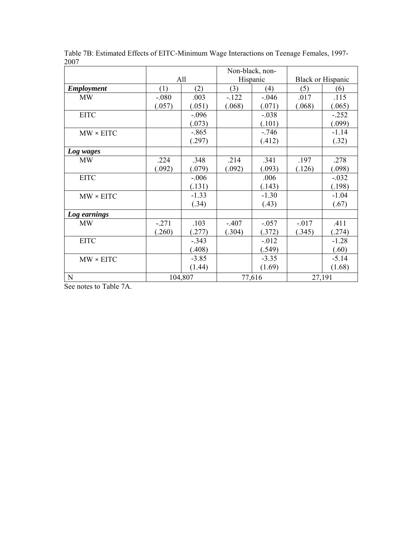|                   |         |         | Non-black, non- |          |         |                          |
|-------------------|---------|---------|-----------------|----------|---------|--------------------------|
|                   |         | All     |                 | Hispanic |         | <b>Black or Hispanic</b> |
| <b>Employment</b> | (1)     | (2)     | (3)             | (4)      | (5)     | (6)                      |
| <b>MW</b>         | $-.080$ | .003    | $-.122$         | $-.046$  | .017    | .115                     |
|                   | (.057)  | (.051)  | (.068)          | (.071)   | (.068)  | (.065)                   |
| <b>EITC</b>       |         | $-.096$ |                 | $-.038$  |         | $-.252$                  |
|                   |         | (.073)  |                 | (.101)   |         | (.099)                   |
| $MW \times EITC$  |         | $-.865$ |                 | $-.746$  |         | $-1.14$                  |
|                   |         | (.297)  |                 | (.412)   |         | (.32)                    |
| Log wages         |         |         |                 |          |         |                          |
| <b>MW</b>         | .224    | .348    | .214            | .341     | .197    | .278                     |
|                   | (.092)  | (.079)  | (.092)          | (.093)   | (.126)  | (.098)                   |
| <b>EITC</b>       |         | $-.006$ |                 | .006     |         | $-.032$                  |
|                   |         | (.131)  |                 | (.143)   |         | (.198)                   |
| $MW \times EITC$  |         | $-1.33$ |                 | $-1.30$  |         | $-1.04$                  |
|                   |         | (.34)   |                 | (.43)    |         | (.67)                    |
| Log earnings      |         |         |                 |          |         |                          |
| <b>MW</b>         | $-.271$ | .103    | $-.407$         | $-.057$  | $-.017$ | .411                     |
|                   | (.260)  | (.277)  | (.304)          | (.372)   | (.345)  | (.274)                   |
| <b>EITC</b>       |         | $-.343$ |                 | $-.012$  |         | $-1.28$                  |
|                   |         | (.408)  |                 | (.549)   |         | (.60)                    |
| $MW \times EITC$  |         | $-3.85$ |                 | $-3.35$  |         | $-5.14$                  |
|                   |         | (1.44)  |                 | (1.69)   |         | (1.68)                   |
| ${\bf N}$         |         | 104,807 |                 | 77,616   | 27,191  |                          |

Table 7B: Estimated Effects of EITC-Minimum Wage Interactions on Teenage Females, 1997- 2007

See notes to Table 7A.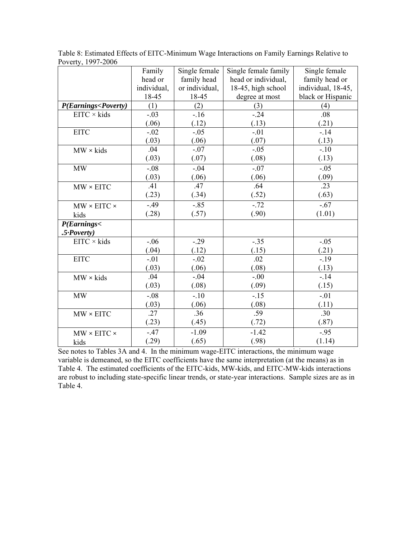|                                                                                          | Family      | Single female  | Single female family | Single female      |
|------------------------------------------------------------------------------------------|-------------|----------------|----------------------|--------------------|
|                                                                                          | head or     | family head    | head or individual,  | family head or     |
|                                                                                          | individual, | or individual, | 18-45, high school   | individual, 18-45, |
|                                                                                          | 18-45       | 18-45          | degree at most       | black or Hispanic  |
| P(Earnings <poverty)< th=""><th>(1)</th><th>(2)</th><th>(3)</th><th>(4)</th></poverty)<> | (1)         | (2)            | (3)                  | (4)                |
| $EITC \times kids$                                                                       | $-.03$      | $-16$          | $-.24$               | .08                |
|                                                                                          | (.06)       | (.12)          | (.13)                | (.21)              |
| <b>EITC</b>                                                                              | $-.02$      | $-.05$         | $-.01$               | $-14$              |
|                                                                                          | (.03)       | (.06)          | (.07)                | (.13)              |
| $MW \times kids$                                                                         | .04         | $-.07$         | $-.05$               | $-.10$             |
|                                                                                          | (.03)       | (.07)          | (.08)                | (.13)              |
| <b>MW</b>                                                                                | $-.08$      | $-.04$         | $-.07$               | $-.05$             |
|                                                                                          | (.03)       | (.06)          | (.06)                | (.09)              |
| $MW \times EITC$                                                                         | .41         | .47            | .64                  | .23                |
|                                                                                          | (.23)       | (.34)          | (.52)                | (.63)              |
| $MW \times EITC \times$                                                                  | $-0.49$     | $-.85$         | $-.72$               | $-.67$             |
| kids                                                                                     | (.28)       | (.57)          | (.90)                | (1.01)             |
| P(Earnings<                                                                              |             |                |                      |                    |
| $.5$ Poverty)                                                                            |             |                |                      |                    |
| $EITC \times kids$                                                                       | $-.06$      | $-0.29$        | $-.35$               | $-.05$             |
|                                                                                          | (.04)       | (.12)          | (.15)                | (.21)              |
| <b>EITC</b>                                                                              | $-.01$      | $-.02$         | .02                  | $-19$              |
|                                                                                          | (.03)       | (.06)          | (.08)                | (.13)              |
| $MW \times kids$                                                                         | .04         | $-.04$         | $-.00$               | $-14$              |
|                                                                                          | (.03)       | (.08)          | (.09)                | (.15)              |
| <b>MW</b>                                                                                | $-0.08$     | $-.10$         | $-15$                | $-.01$             |
|                                                                                          | (.03)       | (.06)          | (.08)                | (.11)              |
| $MW \times EITC$                                                                         | .27         | .36            | .59                  | .30                |
|                                                                                          | (.23)       | (.45)          | (.72)                | (.87)              |
| $MW \times EITC \times$                                                                  | $-.47$      | $-1.09$        | $-1.42$              | $-.95$             |
| kids                                                                                     | (.29)       | (.65)          | (.98)                | (1.14)             |

Table 8: Estimated Effects of EITC-Minimum Wage Interactions on Family Earnings Relative to Poverty, 1997-2006

See notes to Tables 3A and 4. In the minimum wage-EITC interactions, the minimum wage variable is demeaned, so the EITC coefficients have the same interpretation (at the means) as in Table 4. The estimated coefficients of the EITC-kids, MW-kids, and EITC-MW-kids interactions are robust to including state-specific linear trends, or state-year interactions. Sample sizes are as in Table 4.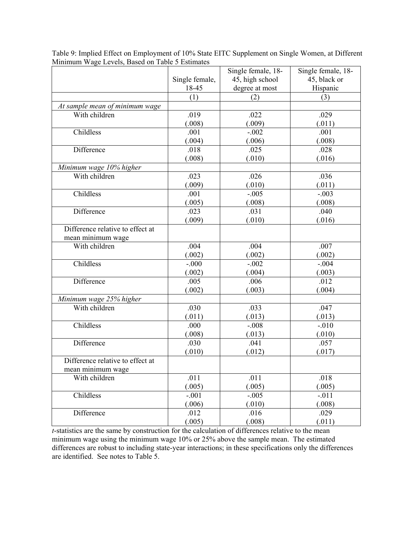|                                  |                | Single female, 18- | Single female, 18- |  |
|----------------------------------|----------------|--------------------|--------------------|--|
|                                  | Single female, | 45, high school    | 45, black or       |  |
|                                  | 18-45          | degree at most     | Hispanic           |  |
|                                  | (1)            | (2)                | (3)                |  |
| At sample mean of minimum wage   |                |                    |                    |  |
| With children                    | .019           | .022               | .029               |  |
|                                  | (.008)         | (.009)             | (.011)             |  |
| Childless                        | .001           | $-.002$            | .001               |  |
|                                  | (.004)         | (.006)             | (.008)             |  |
| Difference                       | .018           | .025               | .028               |  |
|                                  | (.008)         | (.010)             | (.016)             |  |
| Minimum wage 10% higher          |                |                    |                    |  |
| With children                    | .023           | .026               | .036               |  |
|                                  | (.009)         | (.010)             | (.011)             |  |
| Childless                        | .001           | $-.005$            | $-.003$            |  |
|                                  | (.005)         | (.008)             | (.008)             |  |
| Difference                       | .023           | .031               | .040               |  |
|                                  | (.009)         | (.010)             | (.016)             |  |
| Difference relative to effect at |                |                    |                    |  |
| mean minimum wage                |                |                    |                    |  |
| With children                    | .004           | .004               | .007               |  |
|                                  | (.002)         | (.002)             | (.002)             |  |
| Childless                        | $-.000$        | $-.002$            | $-.004$            |  |
|                                  | (.002)         | (.004)             | (.003)             |  |
| Difference                       | .005           | .006               | .012               |  |
|                                  | (.002)         | (.003)             | (.004)             |  |
| Minimum wage 25% higher          |                |                    |                    |  |
| With children                    | .030           | .033               | .047               |  |
|                                  | (.011)         | (.013)             | (.013)             |  |
| Childless                        | .000           | $-.008$            | $-.010$            |  |
|                                  | (.008)         | (.013)             | (.010)             |  |
| Difference                       | .030           | .041               | .057               |  |
|                                  | (.010)         | (.012)             | (.017)             |  |
| Difference relative to effect at |                |                    |                    |  |
| mean minimum wage                |                |                    |                    |  |
| With children                    | .011           | .011               | .018               |  |
|                                  | (.005)         | (.005)             | (.005)             |  |
| Childless                        | $-.001$        | $-.005$            | $-.011$            |  |
|                                  | (.006)         | (.010)             | (.008)             |  |
| Difference                       | .012           | .016               | .029               |  |
|                                  | (.005)         | (.008)             | (.011)             |  |

Table 9: Implied Effect on Employment of 10% State EITC Supplement on Single Women, at Different Minimum Wage Levels, Based on Table 5 Estimates

*t*-statistics are the same by construction for the calculation of differences relative to the mean minimum wage using the minimum wage 10% or 25% above the sample mean. The estimated differences are robust to including state-year interactions; in these specifications only the differences are identified. See notes to Table 5.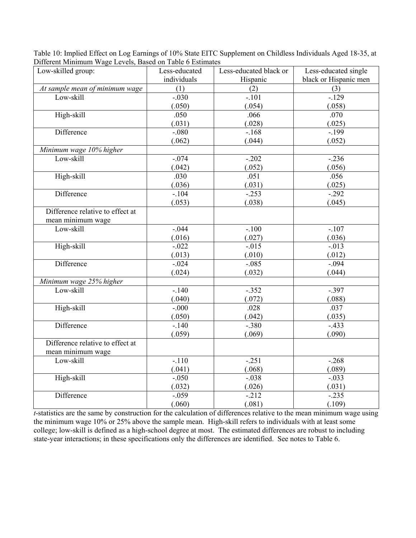| $\ldots$                         |               |                                                |                       |
|----------------------------------|---------------|------------------------------------------------|-----------------------|
| Low-skilled group:               | Less-educated | Less-educated black or<br>Less-educated single |                       |
|                                  | individuals   | Hispanic                                       | black or Hispanic men |
| At sample mean of minimum wage   | (1)           | (2)                                            | (3)                   |
| Low-skill                        | $-.030$       | $-.101$                                        | $-129$                |
|                                  | (.050)        | (.054)                                         | (.058)                |
| High-skill                       | .050          | .066<br>.070                                   |                       |
|                                  | (.031)        | (.028)                                         | (.025)                |
| Difference                       | $-0.080$      | $-168$                                         | $-199$                |
|                                  | (.062)        | (.044)                                         | (.052)                |
| Minimum wage 10% higher          |               |                                                |                       |
| Low-skill                        | $-0.074$      | $-202$                                         | $-.236$               |
|                                  | (.042)        | (.052)                                         | (.056)                |
| High-skill                       | .030          | .051                                           | .056                  |
|                                  | (.036)        | (.031)                                         | (.025)                |
| Difference                       | $-104$        | $-253$                                         | $-.292$               |
|                                  | (.053)        | (.038)                                         | (.045)                |
| Difference relative to effect at |               |                                                |                       |
| mean minimum wage                |               |                                                |                       |
| Low-skill                        | $-0.044$      | $-.100$                                        | $-.107$               |
|                                  | (.016)        | (.027)                                         | (.036)                |
| High-skill                       | $-.022$       | $-0.015$                                       | $-.013$               |
|                                  | (.013)        | (.010)                                         | (.012)                |
| Difference                       | $-.024$       | $-0.085$                                       | $-0.094$              |
|                                  | (.024)        | (.032)                                         | (.044)                |
| Minimum wage 25% higher          |               |                                                |                       |
| Low-skill                        | $-.140$       | $-.352$                                        | $-.397$               |
|                                  | (.040)        | (.072)                                         | (.088)                |
| High-skill                       | $-000$        | .028                                           | .037                  |
|                                  | (.050)        | (.042)                                         | (.035)                |
| Difference                       | $-140$        | $-0.380$                                       | $-433$                |
|                                  | (.059)        | (.069)                                         | (.090)                |
| Difference relative to effect at |               |                                                |                       |
| mean minimum wage                |               |                                                |                       |
| Low-skill                        | $-.110$       | $-.251$                                        | $-.268$               |
|                                  | (.041)        | (.068)                                         | (.089)                |
| High-skill                       | $-.050$       | $-.038$                                        | $-.033$               |
|                                  | (.032)        | (.026)                                         | (.031)                |
| Difference                       | $-.059$       | $-212$                                         | $-.235$               |
|                                  | (.060)        | (.081)                                         | (.109)                |

Table 10: Implied Effect on Log Earnings of 10% State EITC Supplement on Childless Individuals Aged 18-35, at Different Minimum Wage Levels, Based on Table 6 Estimates

*t*-statistics are the same by construction for the calculation of differences relative to the mean minimum wage using the minimum wage 10% or 25% above the sample mean. High-skill refers to individuals with at least some college; low-skill is defined as a high-school degree at most. The estimated differences are robust to including state-year interactions; in these specifications only the differences are identified. See notes to Table 6.